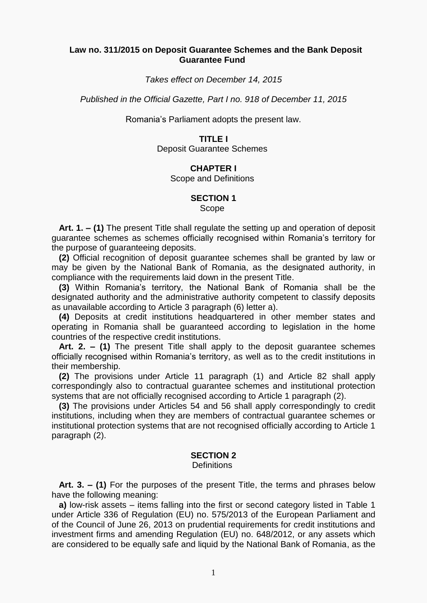#### **Law no. 311/2015 on Deposit Guarantee Schemes and the Bank Deposit Guarantee Fund**

*Takes effect on December 14, 2015*

*Published in the Official Gazette, Part I no. 918 of December 11, 2015*

Romania's Parliament adopts the present law.

#### **TITLE I**

Deposit Guarantee Schemes

## **CHAPTER I**

Scope and Definitions

#### **SECTION 1**

Scope

 **Art. 1. – (1)** The present Title shall regulate the setting up and operation of deposit guarantee schemes as schemes officially recognised within Romania's territory for the purpose of guaranteeing deposits.

 **(2)** Official recognition of deposit guarantee schemes shall be granted by law or may be given by the National Bank of Romania, as the designated authority, in compliance with the requirements laid down in the present Title.

 **(3)** Within Romania's territory, the National Bank of Romania shall be the designated authority and the administrative authority competent to classify deposits as unavailable according to Article 3 paragraph (6) [letter](act:871892%2086298096) a).

 **(4)** Deposits at credit institutions headquartered in other member states and operating in Romania shall be guaranteed according to legislation in the home countries of the respective credit institutions.

 **Art. 2. – (1)** The present Title shall apply to the deposit guarantee schemes officially recognised within Romania's territory, as well as to the credit institutions in their membership.

 **(2)** The provisions under Article 11 [paragraph](act:871892%2086298143) (1) and [Article](act:871892%2086298427) 82 shall apply correspondingly also to contractual guarantee schemes and institutional protection systems that are not officially recognised according to Article 1 [paragraph](act:871892%2086298059) (2).

 **(3)** The provisions under [Articles](act:871892%2086298318) 54 and [56](act:871892%2086298322) shall apply correspondingly to credit institutions, including when they are members of contractual guarantee schemes or institutional protection systems that are not recognised officially according to Article 1 [paragraph](act:871892%2086298059) (2).

#### **SECTION 2**

**Definitions** 

 **Art. 3. – (1)** For the purposes of the present Title, the terms and phrases below have the following meaning:

 **a)** low-risk assets – items falling into the first or second category listed in Table 1 under [Article](act:387730%2066588407) 336 of Regulation (EU) no. 575/2013 of the European Parliament and of the Council of June 26, 2013 on prudential requirements for credit institutions and investment firms and amending Regulation (EU) [no. 648/2012,](act:326638%200) or any assets which are considered to be equally safe and liquid by the National Bank of Romania, as the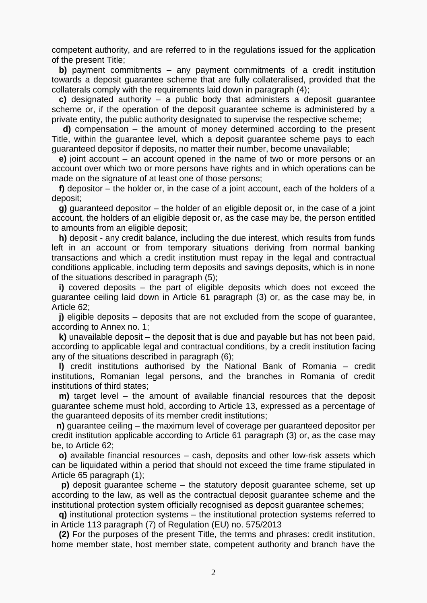competent authority, and are referred to in the regulations issued for the application of the present Title;

 **b)** payment commitments – any payment commitments of a credit institution towards a deposit guarantee scheme that are fully collateralised, provided that the collaterals comply with the requirements laid down in paragraph (4);

 **c)** designated authority – a public body that administers a deposit guarantee scheme or, if the operation of the deposit guarantee scheme is administered by a private entity, the public authority designated to supervise the respective scheme;

 **d)** compensation – the amount of money determined according to the present Title, within the guarantee level, which a deposit guarantee scheme pays to each guaranteed depositor if deposits, no matter their number, become unavailable;

 **e)** joint account – an account opened in the name of two or more persons or an account over which two or more persons have rights and in which operations can be made on the signature of at least one of those persons;

 **f)** depositor – the holder or, in the case of a joint account, each of the holders of a deposit;

 **g)** guaranteed depositor – the holder of an eligible deposit or, in the case of a joint account, the holders of an eligible deposit or, as the case may be, the person entitled to amounts from an eligible deposit;

 **h)** deposit - any credit balance, including the due interest, which results from funds left in an account or from temporary situations deriving from normal banking transactions and which a credit institution must repay in the legal and contractual conditions applicable, including term deposits and savings deposits, which is in none of the situations described in paragraph (5);

 **i)** covered deposits – the part of eligible deposits which does not exceed the guarantee ceiling laid down in Article 61 [paragraph](act:871892%2086298343) (3) or, as the case may be, in [Article](act:871892%2086298347) 62;

 **j)** eligible deposits – deposits that are not excluded from the scope of guarantee, according to Annex [no. 1;](act:871892%2086298716)

 **k)** unavailable deposit – the deposit that is due and payable but has not been paid, according to applicable legal and contractual conditions, by a credit institution facing any of the situations described in paragraph (6);

 **l)** credit institutions authorised by the National Bank of Romania – credit institutions, Romanian legal persons, and the branches in Romania of credit institutions of third states;

 **m)** target level – the amount of available financial resources that the deposit guarantee scheme must hold, according to [Article](act:871892%2086298154) 13, expressed as a percentage of the guaranteed deposits of its member credit institutions;

 **n)** guarantee ceiling – the maximum level of coverage per guaranteed depositor per credit institution applicable according to Article 61 [paragraph](act:871892%2086298343) (3) or, as the case may be, to [Article](act:871892%2086298347) 62;

 **o)** available financial resources – cash, deposits and other low-risk assets which can be liquidated within a period that should not exceed the time frame stipulated in Article 65 [paragraph](act:871892%2086298362) (1);

 **p)** deposit guarantee scheme – the statutory deposit guarantee scheme, set up according to the law, as well as the contractual deposit guarantee scheme and the institutional protection system officially recognised as deposit guarantee schemes;

 **q)** institutional protection systems – the institutional protection systems referred to in Article 113 [paragraph](act:387730%2066585618) (7) of Regulation (EU) no. 575/2013

 **(2)** For the purposes of the present Title, the terms and phrases: credit institution, home member state, host member state, competent authority and branch have the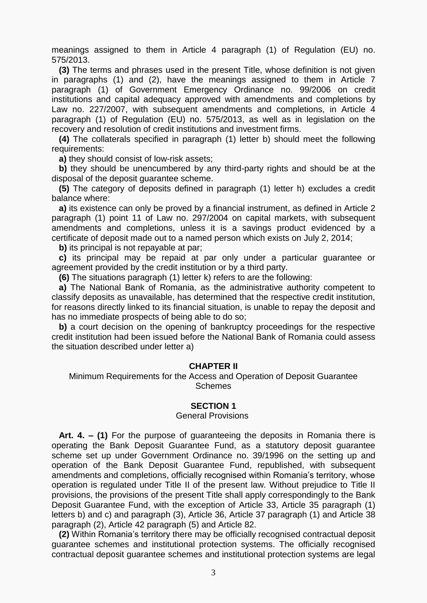meanings assigned to them in Article 4 [paragraph](act:387730%2066584303) (1) of Regulation (EU) no. 575/2013.

 **(3)** The terms and phrases used in the present Title, whose definition is not given in paragraphs (1) and (2), have the meanings assigned to them in Article 7 [paragraph](act:101819%2030728661) (1) of Government Emergency Ordinance no. 99/2006 on credit institutions and capital adequacy approved with amendments and completions by Law [no. 227/2007,](act:106952%200) with subsequent amendments and completions, in Article 4 [paragraph](act:387730%2066584303) (1) of Regulation (EU) no. 575/2013, as well as in legislation on the recovery and resolution of credit institutions and investment firms.

 **(4)** The collaterals specified in paragraph (1) letter b) should meet the following requirements:

**a)** they should consist of low-risk assets;

 **b)** they should be unencumbered by any third-party rights and should be at the disposal of the deposit guarantee scheme.

 **(5)** The category of deposits defined in paragraph (1) letter h) excludes a credit balance where:

 **a)** its existence can only be proved by a financial instrument, as defined in Article 2 paragraph (1) [point](act:56842%2061517319) 11 of Law no. 297/2004 on capital markets, with subsequent amendments and completions, unless it is a savings product evidenced by a certificate of deposit made out to a named person which exists on July 2, 2014;

**b)** its principal is not repayable at par;

 **c)** its principal may be repaid at par only under a particular guarantee or agreement provided by the credit institution or by a third party.

**(6)** The situations paragraph (1) letter k) refers to are the following:

 **a)** The National Bank of Romania, as the administrative authority competent to classify deposits as unavailable, has determined that the respective credit institution, for reasons directly linked to its financial situation, is unable to repay the deposit and has no immediate prospects of being able to do so;

**b)** a court decision on the opening of bankruptcy proceedings for the respective credit institution had been issued before the National Bank of Romania could assess the situation described under letter a)

## **CHAPTER II**

Minimum Requirements for the Access and Operation of Deposit Guarantee Schemes

## **SECTION 1**

#### General Provisions

 **Art. 4. – (1)** For the purpose of guaranteeing the deposits in Romania there is operating the Bank Deposit Guarantee Fund, as a statutory deposit guarantee scheme set up under Government Ordinance [no. 39/1996](act:136737%200) on the setting up and operation of the Bank Deposit Guarantee Fund, republished, with subsequent amendments and completions, officially recognised within Romania's territory, whose operation is regulated under Title II of the present law. Without prejudice to Title II provisions, the provisions of the present Title shall apply correspondingly to the Bank Deposit Guarantee Fund, with the exception of [Article](act:871892%2086298230) 33, Article 35 paragraph (1) [letters](act:871892%2086298253) b) and [c\)](act:871892%2086298254) and [paragraph](act:871892%2086298256) (3), [Article](act:871892%2086298257) 36, Article 37 [paragraph](act:871892%2086298262) (1) and Article 38 [paragraph](act:871892%2086298267) (2), Article 42 [paragraph](act:871892%2086298283) (5) and [Article](act:871892%2086298427) 82.

 **(2)** Within Romania's territory there may be officially recognised contractual deposit guarantee schemes and institutional protection systems. The officially recognised contractual deposit guarantee schemes and institutional protection systems are legal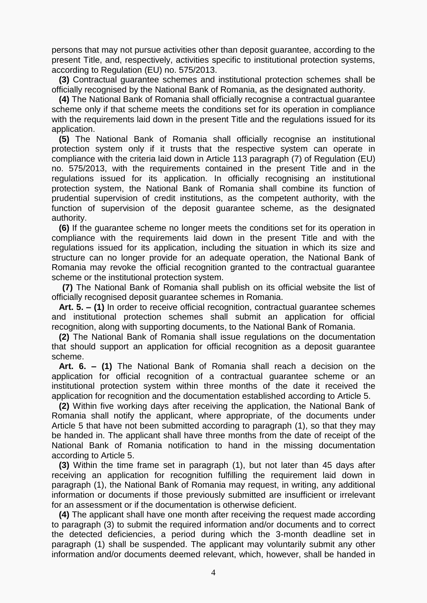persons that may not pursue activities other than deposit guarantee, according to the present Title, and, respectively, activities specific to institutional protection systems, according to Regulation (EU) [no. 575/2013.](act:387730%200)

 **(3)** Contractual guarantee schemes and institutional protection schemes shall be officially recognised by the National Bank of Romania, as the designated authority.

 **(4)** The National Bank of Romania shall officially recognise a contractual guarantee scheme only if that scheme meets the conditions set for its operation in compliance with the requirements laid down in the present Title and the regulations issued for its application.

 **(5)** The National Bank of Romania shall officially recognise an institutional protection system only if it trusts that the respective system can operate in compliance with the criteria laid down in Article 113 [paragraph \(7\)](act:387730%2066585618) of Regulation (EU) no. 575/2013, with the requirements contained in the present Title and in the regulations issued for its application. In officially recognising an institutional protection system, the National Bank of Romania shall combine its function of prudential supervision of credit institutions, as the competent authority, with the function of supervision of the deposit guarantee scheme, as the designated authority.

 **(6)** If the guarantee scheme no longer meets the conditions set for its operation in compliance with the requirements laid down in the present Title and with the regulations issued for its application, including the situation in which its size and structure can no longer provide for an adequate operation, the National Bank of Romania may revoke the official recognition granted to the contractual guarantee scheme or the institutional protection system.

 **(7)** The National Bank of Romania shall publish on its official website the list of officially recognised deposit guarantee schemes in Romania.

 **Art. 5. – (1)** In order to receive official recognition, contractual guarantee schemes and institutional protection schemes shall submit an application for official recognition, along with supporting documents, to the National Bank of Romania.

 **(2)** The National Bank of Romania shall issue regulations on the documentation that should support an application for official recognition as a deposit guarantee scheme.

 **Art. 6. – (1)** The National Bank of Romania shall reach a decision on the application for official recognition of a contractual guarantee scheme or an institutional protection system within three months of the date it received the application for recognition and the documentation established according to [Article](act:871892%2086298108) 5.

 **(2)** Within five working days after receiving the application, the National Bank of Romania shall notify the applicant, where appropriate, of the documents under [Article](act:871892%2086298108) 5 that have not been submitted according to paragraph (1), so that they may be handed in. The applicant shall have three months from the date of receipt of the National Bank of Romania notification to hand in the missing documentation according to [Article](act:871892%2086298108) 5.

 **(3)** Within the time frame set in paragraph (1), but not later than 45 days after receiving an application for recognition fulfilling the requirement laid down in paragraph (1), the National Bank of Romania may request, in writing, any additional information or documents if those previously submitted are insufficient or irrelevant for an assessment or if the documentation is otherwise deficient.

 **(4)** The applicant shall have one month after receiving the request made according to paragraph (3) to submit the required information and/or documents and to correct the detected deficiencies, a period during which the 3-month deadline set in paragraph (1) shall be suspended. The applicant may voluntarily submit any other information and/or documents deemed relevant, which, however, shall be handed in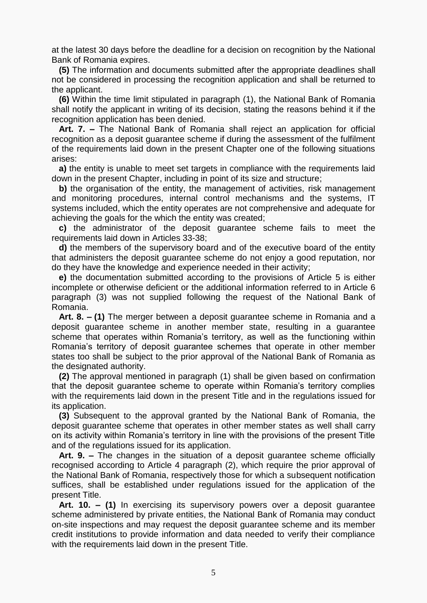at the latest 30 days before the deadline for a decision on recognition by the National Bank of Romania expires.

 **(5)** The information and documents submitted after the appropriate deadlines shall not be considered in processing the recognition application and shall be returned to the applicant.

 **(6)** Within the time limit stipulated in paragraph (1), the National Bank of Romania shall notify the applicant in writing of its decision, stating the reasons behind it if the recognition application has been denied.

 **Art. 7. –** The National Bank of Romania shall reject an application for official recognition as a deposit guarantee scheme if during the assessment of the fulfilment of the requirements laid down in the present Chapter one of the following situations arises:

 **a)** the entity is unable to meet set targets in compliance with the requirements laid down in the present Chapter, including in point of its size and structure;

**b**) the organisation of the entity, the management of activities, risk management and monitoring procedures, internal control mechanisms and the systems, IT systems included, which the entity operates are not comprehensive and adequate for achieving the goals for the which the entity was created;

 **c)** the administrator of the deposit guarantee scheme fails to meet the requirements laid down in [Articles](act:871892%2086298230) 33[-38;](act:871892%2086298265)

 **d)** the members of the supervisory board and of the executive board of the entity that administers the deposit guarantee scheme do not enjoy a good reputation, nor do they have the knowledge and experience needed in their activity;

 **e)** the documentation submitted according to the provisions of [Article](act:871892%2086298108) 5 is either incomplete or otherwise deficient or the additional information referred to in Article 6 [paragraph](act:871892%2086298114) (3) was not supplied following the request of the National Bank of Romania.

 **Art. 8. – (1)** The merger between a deposit guarantee scheme in Romania and a deposit guarantee scheme in another member state, resulting in a guarantee scheme that operates within Romania's territory, as well as the functioning within Romania's territory of deposit guarantee schemes that operate in other member states too shall be subject to the prior approval of the National Bank of Romania as the designated authority.

 **(2)** The approval mentioned in paragraph (1) shall be given based on confirmation that the deposit guarantee scheme to operate within Romania's territory complies with the requirements laid down in the present Title and in the regulations issued for its application.

 **(3)** Subsequent to the approval granted by the National Bank of Romania, the deposit guarantee scheme that operates in other member states as well shall carry on its activity within Romania's territory in line with the provisions of the present Title and of the regulations issued for its application.

 **Art. 9. –** The changes in the situation of a deposit guarantee scheme officially recognised according to Article 4 [paragraph](act:871892%2086298102) (2), which require the prior approval of the National Bank of Romania, respectively those for which a subsequent notification suffices, shall be established under regulations issued for the application of the present Title.

 **Art. 10. – (1)** In exercising its supervisory powers over a deposit guarantee scheme administered by private entities, the National Bank of Romania may conduct on-site inspections and may request the deposit guarantee scheme and its member credit institutions to provide information and data needed to verify their compliance with the requirements laid down in the present Title.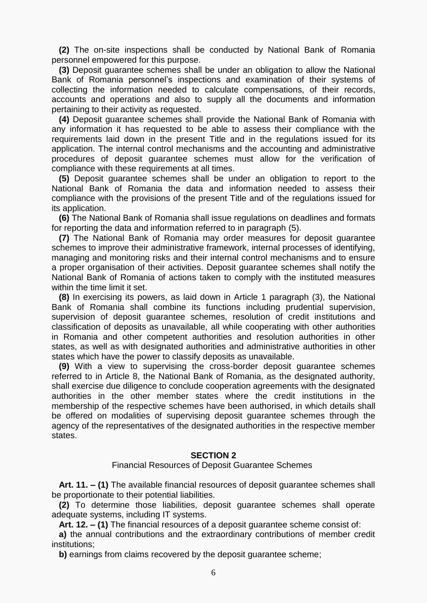**(2)** The on-site inspections shall be conducted by National Bank of Romania personnel empowered for this purpose.

 **(3)** Deposit guarantee schemes shall be under an obligation to allow the National Bank of Romania personnel's inspections and examination of their systems of collecting the information needed to calculate compensations, of their records, accounts and operations and also to supply all the documents and information pertaining to their activity as requested.

 **(4)** Deposit guarantee schemes shall provide the National Bank of Romania with any information it has requested to be able to assess their compliance with the requirements laid down in the present Title and in the regulations issued for its application. The internal control mechanisms and the accounting and administrative procedures of deposit guarantee schemes must allow for the verification of compliance with these requirements at all times.

 **(5)** Deposit guarantee schemes shall be under an obligation to report to the National Bank of Romania the data and information needed to assess their compliance with the provisions of the present Title and of the regulations issued for its application.

 **(6)** The National Bank of Romania shall issue regulations on deadlines and formats for reporting the data and information referred to in paragraph (5).

 **(7)** The National Bank of Romania may order measures for deposit guarantee schemes to improve their administrative framework, internal processes of identifying, managing and monitoring risks and their internal control mechanisms and to ensure a proper organisation of their activities. Deposit guarantee schemes shall notify the National Bank of Romania of actions taken to comply with the instituted measures within the time limit it set.

 **(8)** In exercising its powers, as laid down in Article 1 [paragraph](act:871892%2086298060) (3), the National Bank of Romania shall combine its functions including prudential supervision, supervision of deposit guarantee schemes, resolution of credit institutions and classification of deposits as unavailable, all while cooperating with other authorities in Romania and other competent authorities and resolution authorities in other states, as well as with designated authorities and administrative authorities in other states which have the power to classify deposits as unavailable.

 **(9)** With a view to supervising the cross-border deposit guarantee schemes referred to in [Article](act:871892%2086298125) 8, the National Bank of Romania, as the designated authority, shall exercise due diligence to conclude cooperation agreements with the designated authorities in the other member states where the credit institutions in the membership of the respective schemes have been authorised, in which details shall be offered on modalities of supervising deposit guarantee schemes through the agency of the representatives of the designated authorities in the respective member states.

## **SECTION 2**

Financial Resources of Deposit Guarantee Schemes

 **Art. 11. – (1)** The available financial resources of deposit guarantee schemes shall be proportionate to their potential liabilities.

 **(2)** To determine those liabilities, deposit guarantee schemes shall operate adequate systems, including IT systems.

**Art. 12. – (1)** The financial resources of a deposit guarantee scheme consist of:

 **a)** the annual contributions and the extraordinary contributions of member credit institutions;

**b)** earnings from claims recovered by the deposit guarantee scheme;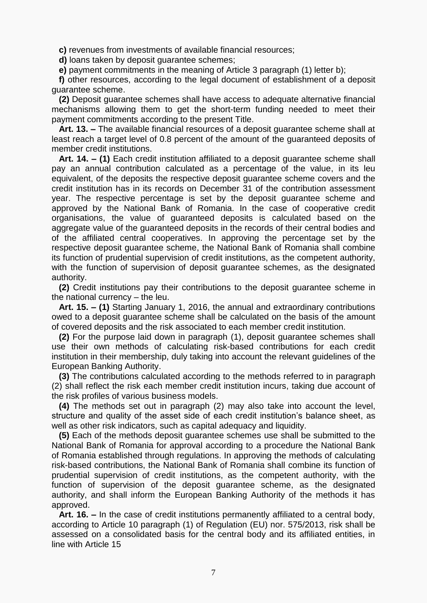**c)** revenues from investments of available financial resources;

**d)** loans taken by deposit guarantee schemes;

**e)** payment commitments in the meaning of Article 3 paragraph (1) [letter](act:871892%2086298070) b);

 **f)** other resources, according to the legal document of establishment of a deposit guarantee scheme.

 **(2)** Deposit guarantee schemes shall have access to adequate alternative financial mechanisms allowing them to get the short-term funding needed to meet their payment commitments according to the present Title.

 **Art. 13. –** The available financial resources of a deposit guarantee scheme shall at least reach a target level of 0.8 percent of the amount of the guaranteed deposits of member credit institutions.

 **Art. 14. – (1)** Each credit institution affiliated to a deposit guarantee scheme shall pay an annual contribution calculated as a percentage of the value, in its leu equivalent, of the deposits the respective deposit guarantee scheme covers and the credit institution has in its records on December 31 of the contribution assessment year. The respective percentage is set by the deposit guarantee scheme and approved by the National Bank of Romania. In the case of cooperative credit organisations, the value of guaranteed deposits is calculated based on the aggregate value of the guaranteed deposits in the records of their central bodies and of the affiliated central cooperatives. In approving the percentage set by the respective deposit guarantee scheme, the National Bank of Romania shall combine its function of prudential supervision of credit institutions, as the competent authority, with the function of supervision of deposit guarantee schemes, as the designated authority.

 **(2)** Credit institutions pay their contributions to the deposit guarantee scheme in the national currency – the leu.

 **Art. 15. – (1)** Starting January 1, 2016, the annual and extraordinary contributions owed to a deposit guarantee scheme shall be calculated on the basis of the amount of covered deposits and the risk associated to each member credit institution.

 **(2)** For the purpose laid down in paragraph (1), deposit guarantee schemes shall use their own methods of calculating risk-based contributions for each credit institution in their membership, duly taking into account the relevant guidelines of the European Banking Authority.

 **(3)** The contributions calculated according to the methods referred to in paragraph (2) shall reflect the risk each member credit institution incurs, taking due account of the risk profiles of various business models.

 **(4)** The methods set out in paragraph (2) may also take into account the level, structure and quality of the asset side of each credit institution's balance sheet, as well as other risk indicators, such as capital adequacy and liquidity.

 **(5)** Each of the methods deposit guarantee schemes use shall be submitted to the National Bank of Romania for approval according to a procedure the National Bank of Romania established through regulations. In approving the methods of calculating risk-based contributions, the National Bank of Romania shall combine its function of prudential supervision of credit institutions, as the competent authority, with the function of supervision of the deposit guarantee scheme, as the designated authority, and shall inform the European Banking Authority of the methods it has approved.

 **Art. 16. –** In the case of credit institutions permanently affiliated to a central body, according to Article 10 [paragraph](act:387730%2066584536) (1) of Regulation (EU) nor. 575/2013, risk shall be assessed on a consolidated basis for the central body and its affiliated entities, in line with [Article](act:871892%2086298159) 15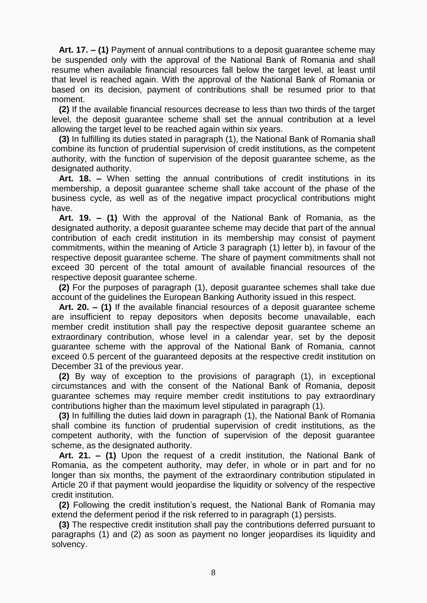**Art. 17. – (1)** Payment of annual contributions to a deposit guarantee scheme may be suspended only with the approval of the National Bank of Romania and shall resume when available financial resources fall below the target level, at least until that level is reached again. With the approval of the National Bank of Romania or based on its decision, payment of contributions shall be resumed prior to that moment.

 **(2)** If the available financial resources decrease to less than two thirds of the target level, the deposit guarantee scheme shall set the annual contribution at a level allowing the target level to be reached again within six years.

 **(3)** In fulfilling its duties stated in paragraph (1), the National Bank of Romania shall combine its function of prudential supervision of credit institutions, as the competent authority, with the function of supervision of the deposit guarantee scheme, as the designated authority.

 **Art. 18. –** When setting the annual contributions of credit institutions in its membership, a deposit guarantee scheme shall take account of the phase of the business cycle, as well as of the negative impact procyclical contributions might have.

 **Art. 19. – (1)** With the approval of the National Bank of Romania, as the designated authority, a deposit guarantee scheme may decide that part of the annual contribution of each credit institution in its membership may consist of payment commitments, within the meaning of Article 3 paragraph (1) [letter](act:871892%2086298070) b), in favour of the respective deposit guarantee scheme. The share of payment commitments shall not exceed 30 percent of the total amount of available financial resources of the respective deposit guarantee scheme.

 **(2)** For the purposes of paragraph (1), deposit guarantee schemes shall take due account of the guidelines the European Banking Authority issued in this respect.

 **Art. 20. – (1)** If the available financial resources of a deposit guarantee scheme are insufficient to repay depositors when deposits become unavailable, each member credit institution shall pay the respective deposit guarantee scheme an extraordinary contribution, whose level in a calendar year, set by the deposit guarantee scheme with the approval of the National Bank of Romania, cannot exceed 0.5 percent of the guaranteed deposits at the respective credit institution on December 31 of the previous year.

 **(2)** By way of exception to the provisions of paragraph (1), in exceptional circumstances and with the consent of the National Bank of Romania, deposit guarantee schemes may require member credit institutions to pay extraordinary contributions higher than the maximum level stipulated in paragraph (1).

 **(3)** In fulfilling the duties laid down in paragraph (1), the National Bank of Romania shall combine its function of prudential supervision of credit institutions, as the competent authority, with the function of supervision of the deposit guarantee scheme, as the designated authority.

 **Art. 21. – (1)** Upon the request of a credit institution, the National Bank of Romania, as the competent authority, may defer, in whole or in part and for no longer than six months, the payment of the extraordinary contribution stipulated in Article [20](act:871892%2086298176) if that payment would jeopardise the liquidity or solvency of the respective credit institution.

 **(2)** Following the credit institution's request, the National Bank of Romania may extend the deferment period if the risk referred to in paragraph (1) persists.

 **(3)** The respective credit institution shall pay the contributions deferred pursuant to paragraphs (1) and (2) as soon as payment no longer jeopardises its liquidity and solvency.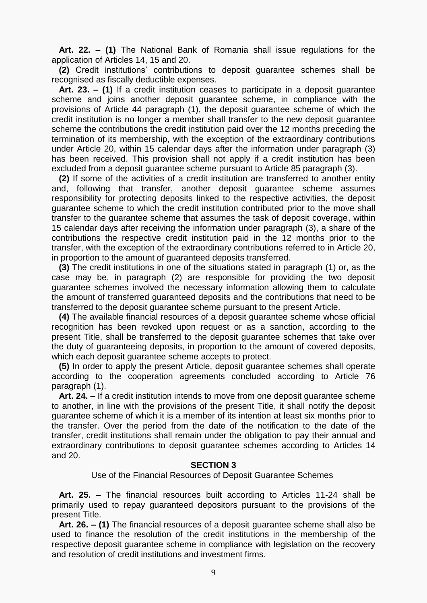**Art. 22. – (1)** The National Bank of Romania shall issue regulations for the application of [Articles](act:871892%2086298156) 14, [15](act:871892%2086298159) and [20.](act:871892%2086298176)

 **(2)** Credit institutions' contributions to deposit guarantee schemes shall be recognised as fiscally deductible expenses.

 **Art. 23. – (1)** If a credit institution ceases to participate in a deposit guarantee scheme and joins another deposit guarantee scheme, in compliance with the provisions of Article 44 [paragraph](act:871892%2086298289) (1), the deposit guarantee scheme of which the credit institution is no longer a member shall transfer to the new deposit guarantee scheme the contributions the credit institution paid over the 12 months preceding the termination of its membership, with the exception of the extraordinary contributions under [Article](act:871892%2086298176) 20, within 15 calendar days after the information under paragraph (3) has been received. This provision shall not apply if a credit institution has been excluded from a deposit guarantee scheme pursuant to Article 85 [paragraph](act:871892%2086298459) (3).

 **(2)** If some of the activities of a credit institution are transferred to another entity and, following that transfer, another deposit guarantee scheme assumes responsibility for protecting deposits linked to the respective activities, the deposit guarantee scheme to which the credit institution contributed prior to the move shall transfer to the guarantee scheme that assumes the task of deposit coverage, within 15 calendar days after receiving the information under paragraph (3), a share of the contributions the respective credit institution paid in the 12 months prior to the transfer, with the exception of the extraordinary contributions referred to in [Article 20,](act:871892%2086298176) in proportion to the amount of guaranteed deposits transferred.

 **(3)** The credit institutions in one of the situations stated in paragraph (1) or, as the case may be, in paragraph (2) are responsible for providing the two deposit guarantee schemes involved the necessary information allowing them to calculate the amount of transferred guaranteed deposits and the contributions that need to be transferred to the deposit guarantee scheme pursuant to the present Article.

 **(4)** The available financial resources of a deposit guarantee scheme whose official recognition has been revoked upon request or as a sanction, according to the present Title, shall be transferred to the deposit guarantee schemes that take over the duty of guaranteeing deposits, in proportion to the amount of covered deposits, which each deposit guarantee scheme accepts to protect.

 **(5)** In order to apply the present Article, deposit guarantee schemes shall operate according to the cooperation agreements concluded according to Article 76 [paragraph](act:871892%2086298402) (1).

 **Art. 24. –** If a credit institution intends to move from one deposit guarantee scheme to another, in line with the provisions of the present Title, it shall notify the deposit guarantee scheme of which it is a member of its intention at least six months prior to the transfer. Over the period from the date of the notification to the date of the transfer, credit institutions shall remain under the obligation to pay their annual and extraordinary contributions to deposit guarantee schemes according to [Articles](act:871892%2086298156) 14 and [20.](act:871892%2086298176)

#### **SECTION 3**

Use of the Financial Resources of Deposit Guarantee Schemes

 **Art. 25. –** The financial resources built according to [Articles](act:871892%2086298142) 11[-24](act:871892%2086298193) shall be primarily used to repay guaranteed depositors pursuant to the provisions of the present Title.

 **Art. 26. – (1)** The financial resources of a deposit guarantee scheme shall also be used to finance the resolution of the credit institutions in the membership of the respective deposit guarantee scheme in compliance with legislation on the recovery and resolution of credit institutions and investment firms.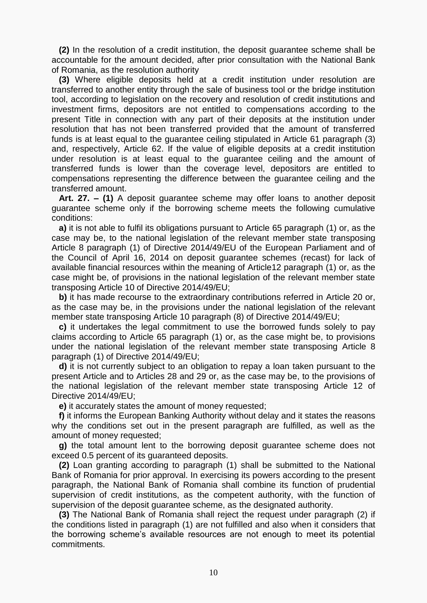**(2)** In the resolution of a credit institution, the deposit guarantee scheme shall be accountable for the amount decided, after prior consultation with the National Bank of Romania, as the resolution authority

 **(3)** Where eligible deposits held at a credit institution under resolution are transferred to another entity through the sale of business tool or the bridge institution tool, according to legislation on the recovery and resolution of credit institutions and investment firms, depositors are not entitled to compensations according to the present Title in connection with any part of their deposits at the institution under resolution that has not been transferred provided that the amount of transferred funds is at least equal to the guarantee ceiling stipulated in Article 61 [paragraph](act:871892%2086298343) (3) and, respectively, [Article](act:871892%2086298347) 62. If the value of eligible deposits at a credit institution under resolution is at least equal to the guarantee ceiling and the amount of transferred funds is lower than the coverage level, depositors are entitled to compensations representing the difference between the guarantee ceiling and the transferred amount.

 **Art. 27. – (1)** A deposit guarantee scheme may offer loans to another deposit guarantee scheme only if the borrowing scheme meets the following cumulative conditions:

 **a)** it is not able to fulfil its obligations pursuant to Article 65 [paragraph](act:871892%2086298362) (1) or, as the case may be, to the national legislation of the relevant member state transposing Article 8 [paragraph \(1\)](act:399160%2067924449) of Directive 2014/49/EU of the European Parliament and of the Council of April 16, 2014 on deposit guarantee schemes (recast) for lack of available financial resources within the meaning of Article12 [paragraph \(1\)](act:871892%2086298146) or, as the case might be, of provisions in the national legislation of the relevant member state transposing [Article](act:399160%2067924475) 10 of Directive [2014/49/EU](act:399160%200);

**b**) it has made recourse to the extraordinary contributions referred in [Article](act:871892%2086298176) 20 or, as the case may be, in the provisions under the national legislation of the relevant member state transposing Article 10 [paragraph](act:399160%2067924494) (8) of Directive 2014/49/EU;

 **c)** it undertakes the legal commitment to use the borrowed funds solely to pay claims according to Article 65 [paragraph](act:871892%2086298362) (1) or, as the case might be, to provisions under the national legislation of the relevant member state transposing Article 8 [paragraph](act:399160%2067924449) (1) of Directive 2014/49/EU;

 **d)** it is not currently subject to an obligation to repay a loan taken pursuant to the present Article and to [Articles](act:871892%2086298213) 28 and [29](act:871892%2086298215) or, as the case may be, to the provisions of the national legislation of the relevant member state transposing [Article](act:399160%2067924516) 12 of Directive 2014/49/EU;

**e)** it accurately states the amount of money requested;

 **f)** it informs the European Banking Authority without delay and it states the reasons why the conditions set out in the present paragraph are fulfilled, as well as the amount of money requested;

 **g)** the total amount lent to the borrowing deposit guarantee scheme does not exceed 0.5 percent of its guaranteed deposits.

 **(2)** Loan granting according to paragraph (1) shall be submitted to the National Bank of Romania for prior approval. In exercising its powers according to the present paragraph, the National Bank of Romania shall combine its function of prudential supervision of credit institutions, as the competent authority, with the function of supervision of the deposit guarantee scheme, as the designated authority.

 **(3)** The National Bank of Romania shall reject the request under paragraph (2) if the conditions listed in paragraph (1) are not fulfilled and also when it considers that the borrowing scheme's available resources are not enough to meet its potential commitments.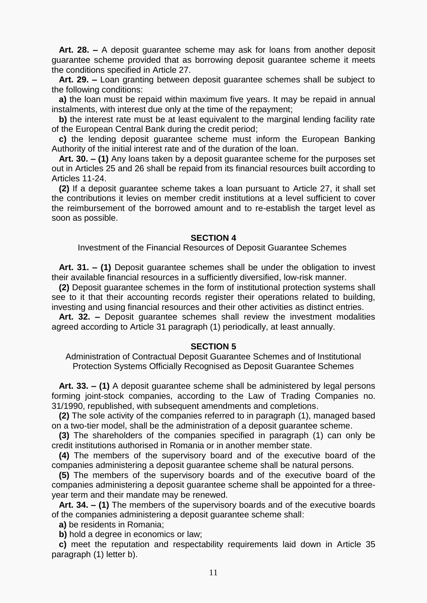**Art. 28. –** A deposit guarantee scheme may ask for loans from another deposit guarantee scheme provided that as borrowing deposit guarantee scheme it meets the conditions specified in [Article](act:871892%2086298202) 27.

 **Art. 29. –** Loan granting between deposit guarantee schemes shall be subject to the following conditions:

 **a)** the loan must be repaid within maximum five years. It may be repaid in annual instalments, with interest due only at the time of the repayment;

**b**) the interest rate must be at least equivalent to the marginal lending facility rate of the European Central Bank during the credit period;

 **c)** the lending deposit guarantee scheme must inform the European Banking Authority of the initial interest rate and of the duration of the loan.

 **Art. 30. – (1)** Any loans taken by a deposit guarantee scheme for the purposes set out in [Articles](act:871892%2086298196) 25 and [26](act:871892%2086298198) shall be repaid from its financial resources built according to [Articles](act:871892%2086298142) 11[-24.](act:871892%2086298193)

 **(2)** If a deposit guarantee scheme takes a loan pursuant to [Article](act:871892%2086298202) 27, it shall set the contributions it levies on member credit institutions at a level sufficient to cover the reimbursement of the borrowed amount and to re-establish the target level as soon as possible.

#### **SECTION 4**

Investment of the Financial Resources of Deposit Guarantee Schemes

 **Art. 31. – (1)** Deposit guarantee schemes shall be under the obligation to invest their available financial resources in a sufficiently diversified, low-risk manner.

 **(2)** Deposit guarantee schemes in the form of institutional protection systems shall see to it that their accounting records register their operations related to building, investing and using financial resources and their other activities as distinct entries.

 **Art. 32. –** Deposit guarantee schemes shall review the investment modalities agreed according to Article 31 [paragraph \(1\)](act:871892%2086298225) periodically, at least annually.

#### **SECTION 5**

Administration of Contractual Deposit Guarantee Schemes and of Institutional Protection Systems Officially Recognised as Deposit Guarantee Schemes

 **Art. 33. – (1)** A deposit guarantee scheme shall be administered by legal persons forming joint-stock companies, according to the Law of Trading Companies [no.](act:68487%200)  [31/1990,](act:68487%200) republished, with subsequent amendments and completions.

 **(2)** The sole activity of the companies referred to in paragraph (1), managed based on a two-tier model, shall be the administration of a deposit guarantee scheme.

 **(3)** The shareholders of the companies specified in paragraph (1) can only be credit institutions authorised in Romania or in another member state.

 **(4)** The members of the supervisory board and of the executive board of the companies administering a deposit guarantee scheme shall be natural persons.

 **(5)** The members of the supervisory boards and of the executive board of the companies administering a deposit guarantee scheme shall be appointed for a threeyear term and their mandate may be renewed.

 **Art. 34. – (1)** The members of the supervisory boards and of the executive boards of the companies administering a deposit guarantee scheme shall:

**a)** be residents in Romania;

**b)** hold a degree in economics or law;

 **c)** meet the reputation and respectability requirements laid down in Article 35 paragraph (1) [letter](act:871892%2086298253) b).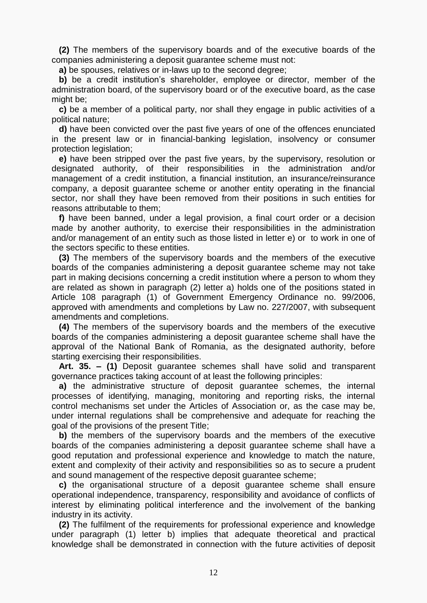**(2)** The members of the supervisory boards and of the executive boards of the companies administering a deposit guarantee scheme must not:

**a)** be spouses, relatives or in-laws up to the second degree;

 **b)** be a credit institution's shareholder, employee or director, member of the administration board, of the supervisory board or of the executive board, as the case might be:

 **c)** be a member of a political party, nor shall they engage in public activities of a political nature;

 **d)** have been convicted over the past five years of one of the offences enunciated in the present law or in financial-banking legislation, insolvency or consumer protection legislation:

 **e)** have been stripped over the past five years, by the supervisory, resolution or designated authority, of their responsibilities in the administration and/or management of a credit institution, a financial institution, an insurance/reinsurance company, a deposit guarantee scheme or another entity operating in the financial sector, nor shall they have been removed from their positions in such entities for reasons attributable to them;

 **f)** have been banned, under a legal provision, a final court order or a decision made by another authority, to exercise their responsibilities in the administration and/or management of an entity such as those listed in letter e) or to work in one of the sectors specific to these entities.

 **(3)** The members of the supervisory boards and the members of the executive boards of the companies administering a deposit guarantee scheme may not take part in making decisions concerning a credit institution where a person to whom they are related as shown in paragraph (2) letter a) holds one of the positions stated in Article 108 [paragraph \(1\)](act:101819%2075673874) of Government Emergency Ordinance no. 99/2006, approved with amendments and completions by Law [no. 227/2007,](act:106952%200) with subsequent amendments and completions.

 **(4)** The members of the supervisory boards and the members of the executive boards of the companies administering a deposit guarantee scheme shall have the approval of the National Bank of Romania, as the designated authority, before starting exercising their responsibilities.

 **Art. 35. – (1)** Deposit guarantee schemes shall have solid and transparent governance practices taking account of at least the following principles:

 **a)** the administrative structure of deposit guarantee schemes, the internal processes of identifying, managing, monitoring and reporting risks, the internal control mechanisms set under the Articles of Association or, as the case may be, under internal regulations shall be comprehensive and adequate for reaching the goal of the provisions of the present Title;

 **b)** the members of the supervisory boards and the members of the executive boards of the companies administering a deposit guarantee scheme shall have a good reputation and professional experience and knowledge to match the nature, extent and complexity of their activity and responsibilities so as to secure a prudent and sound management of the respective deposit guarantee scheme;

 **c)** the organisational structure of a deposit guarantee scheme shall ensure operational independence, transparency, responsibility and avoidance of conflicts of interest by eliminating political interference and the involvement of the banking industry in its activity.

 **(2)** The fulfilment of the requirements for professional experience and knowledge under paragraph (1) letter b) implies that adequate theoretical and practical knowledge shall be demonstrated in connection with the future activities of deposit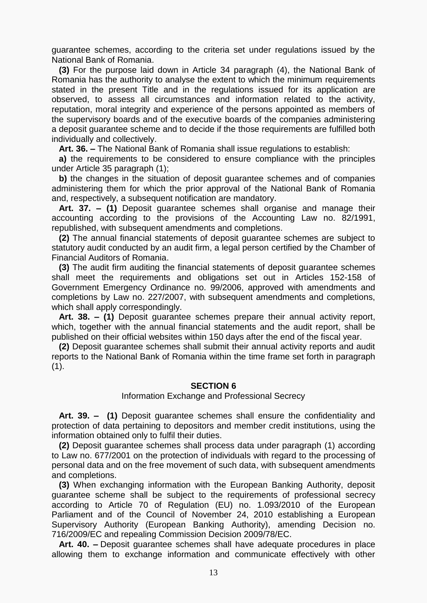guarantee schemes, according to the criteria set under regulations issued by the National Bank of Romania.

 **(3)** For the purpose laid down in Article 34 [paragraph \(4\),](act:871892%2086298249) the National Bank of Romania has the authority to analyse the extent to which the minimum requirements stated in the present Title and in the regulations issued for its application are observed, to assess all circumstances and information related to the activity, reputation, moral integrity and experience of the persons appointed as members of the supervisory boards and of the executive boards of the companies administering a deposit guarantee scheme and to decide if the those requirements are fulfilled both individually and collectively.

**Art. 36. –** The National Bank of Romania shall issue regulations to establish:

 **a)** the requirements to be considered to ensure compliance with the principles under Article 35 [paragraph](act:871892%2086298251) (1);

 **b)** the changes in the situation of deposit guarantee schemes and of companies administering them for which the prior approval of the National Bank of Romania and, respectively, a subsequent notification are mandatory.

 **Art. 37. – (1)** Deposit guarantee schemes shall organise and manage their accounting according to the provisions of the Accounting Law [no. 82/1991,](act:124705%200) republished, with subsequent amendments and completions.

 **(2)** The annual financial statements of deposit guarantee schemes are subject to statutory audit conducted by an audit firm, a legal person certified by the Chamber of Financial Auditors of Romania.

 **(3)** The audit firm auditing the financial statements of deposit guarantee schemes shall meet the requirements and obligations set out in [Articles](act:101819%2030729354) 152[-158](act:101819%2030729377) of Government Emergency Ordinance no. 99/2006, approved with amendments and completions by Law [no. 227/2007,](act:106952%200) with subsequent amendments and completions, which shall apply correspondingly.

 **Art. 38. – (1)** Deposit guarantee schemes prepare their annual activity report, which, together with the annual financial statements and the audit report, shall be published on their official websites within 150 days after the end of the fiscal year.

 **(2)** Deposit guarantee schemes shall submit their annual activity reports and audit reports to the National Bank of Romania within the time frame set forth in paragraph  $(1).$ 

#### **SECTION 6**

#### Information Exchange and Professional Secrecy

 **Art. 39. – (1)** Deposit guarantee schemes shall ensure the confidentiality and protection of data pertaining to depositors and member credit institutions, using the information obtained only to fulfil their duties.

 **(2)** Deposit guarantee schemes shall process data under paragraph (1) according to Law [no. 677/2001](act:33560%200) on the protection of individuals with regard to the processing of personal data and on the free movement of such data, with subsequent amendments and completions.

 **(3)** When exchanging information with the European Banking Authority, deposit guarantee scheme shall be subject to the requirements of professional secrecy according to [Article](act:337952%2063777322) 70 of Regulation (EU) no. 1.093/2010 of the European Parliament and of the Council of November 24, 2010 establishing a European Supervisory Authority (European Banking Authority), amending Decision no. 716/2009[/EC](act:166034%200) and repealing Commission Decision 2009/78/EC.

 **Art. 40. –** Deposit guarantee schemes shall have adequate procedures in place allowing them to exchange information and communicate effectively with other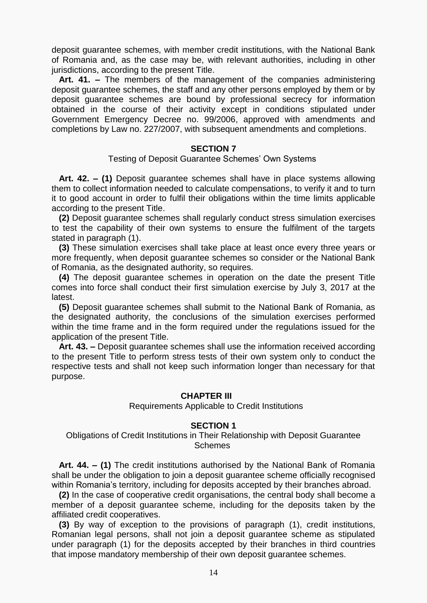deposit guarantee schemes, with member credit institutions, with the National Bank of Romania and, as the case may be, with relevant authorities, including in other jurisdictions, according to the present Title.

 **Art. 41. –** The members of the management of the companies administering deposit guarantee schemes, the staff and any other persons employed by them or by deposit guarantee schemes are bound by professional secrecy for information obtained in the course of their activity except in conditions stipulated under Government Emergency Decree [no. 99/2006,](act:101819%200) approved with amendments and completions by Law [no. 227/2007,](act:106952%200) with subsequent amendments and completions.

## **SECTION 7**

#### Testing of Deposit Guarantee Schemes' Own Systems

 **Art. 42. – (1)** Deposit guarantee schemes shall have in place systems allowing them to collect information needed to calculate compensations, to verify it and to turn it to good account in order to fulfil their obligations within the time limits applicable according to the present Title.

 **(2)** Deposit guarantee schemes shall regularly conduct stress simulation exercises to test the capability of their own systems to ensure the fulfilment of the targets stated in paragraph (1).

 **(3)** These simulation exercises shall take place at least once every three years or more frequently, when deposit guarantee schemes so consider or the National Bank of Romania, as the designated authority, so requires.

 **(4)** The deposit guarantee schemes in operation on the date the present Title comes into force shall conduct their first simulation exercise by July 3, 2017 at the latest.

 **(5)** Deposit guarantee schemes shall submit to the National Bank of Romania, as the designated authority, the conclusions of the simulation exercises performed within the time frame and in the form required under the regulations issued for the application of the present Title.

 **Art. 43. –** Deposit guarantee schemes shall use the information received according to the present Title to perform stress tests of their own system only to conduct the respective tests and shall not keep such information longer than necessary for that purpose.

# **CHAPTER III**

#### Requirements Applicable to Credit Institutions

## **SECTION 1**

## Obligations of Credit Institutions in Their Relationship with Deposit Guarantee **Schemes**

 **Art. 44. – (1)** The credit institutions authorised by the National Bank of Romania shall be under the obligation to join a deposit guarantee scheme officially recognised within Romania's territory, including for deposits accepted by their branches abroad.

 **(2)** In the case of cooperative credit organisations, the central body shall become a member of a deposit guarantee scheme, including for the deposits taken by the affiliated credit cooperatives.

 **(3)** By way of exception to the provisions of paragraph (1), credit institutions, Romanian legal persons, shall not join a deposit guarantee scheme as stipulated under paragraph (1) for the deposits accepted by their branches in third countries that impose mandatory membership of their own deposit guarantee schemes.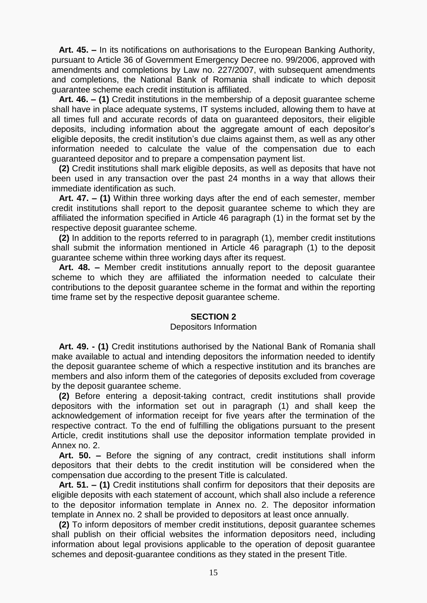**Art. 45. –** In its notifications on authorisations to the European Banking Authority, pursuant to [Article 36](act:101819%2056814135) of Government Emergency Decree [no. 99/2006,](act:101819%200) approved with amendments and completions by Law [no. 227/2007,](act:106952%200) with subsequent amendments and completions, the National Bank of Romania shall indicate to which deposit guarantee scheme each credit institution is affiliated.

 **Art. 46. – (1)** Credit institutions in the membership of a deposit guarantee scheme shall have in place adequate systems, IT systems included, allowing them to have at all times full and accurate records of data on guaranteed depositors, their eligible deposits, including information about the aggregate amount of each depositor's eligible deposits, the credit institution's due claims against them, as well as any other information needed to calculate the value of the compensation due to each guaranteed depositor and to prepare a compensation payment list.

 **(2)** Credit institutions shall mark eligible deposits, as well as deposits that have not been used in any transaction over the past 24 months in a way that allows their immediate identification as such.

 **Art. 47. – (1)** Within three working days after the end of each semester, member credit institutions shall report to the deposit guarantee scheme to which they are affiliated the information specified in Article 46 [paragraph](act:871892%2086298295) (1) in the format set by the respective deposit guarantee scheme.

 **(2)** In addition to the reports referred to in paragraph (1), member credit institutions shall submit the information mentioned in Article 46 [paragraph \(1\)](act:871892%2086298295) to the deposit guarantee scheme within three working days after its request.

 **Art. 48. –** Member credit institutions annually report to the deposit guarantee scheme to which they are affiliated the information needed to calculate their contributions to the deposit guarantee scheme in the format and within the reporting time frame set by the respective deposit guarantee scheme.

## **SECTION 2**

#### Depositors Information

 **Art. 49. - (1)** Credit institutions authorised by the National Bank of Romania shall make available to actual and intending depositors the information needed to identify the deposit guarantee scheme of which a respective institution and its branches are members and also inform them of the categories of deposits excluded from coverage by the deposit guarantee scheme.

 **(2)** Before entering a deposit-taking contract, credit institutions shall provide depositors with the information set out in paragraph (1) and shall keep the acknowledgement of information receipt for five years after the termination of the respective contract. To the end of fulfilling the obligations pursuant to the present Article, credit institutions shall use the depositor information template provided in Annex [no. 2.](act:871892%2086298729)

 **Art. 50. –** Before the signing of any contract, credit institutions shall inform depositors that their debts to the credit institution will be considered when the compensation due according to the present Title is calculated.

 **Art. 51. – (1)** Credit institutions shall confirm for depositors that their deposits are eligible deposits with each statement of account, which shall also include a reference to the depositor information template in Annex [no. 2.](act:871892%2086298729) The depositor information template in Annex [no. 2](act:871892%2086298729) shall be provided to depositors at least once annually.

 **(2)** To inform depositors of member credit institutions, deposit guarantee schemes shall publish on their official websites the information depositors need, including information about legal provisions applicable to the operation of deposit guarantee schemes and deposit-guarantee conditions as they stated in the present Title.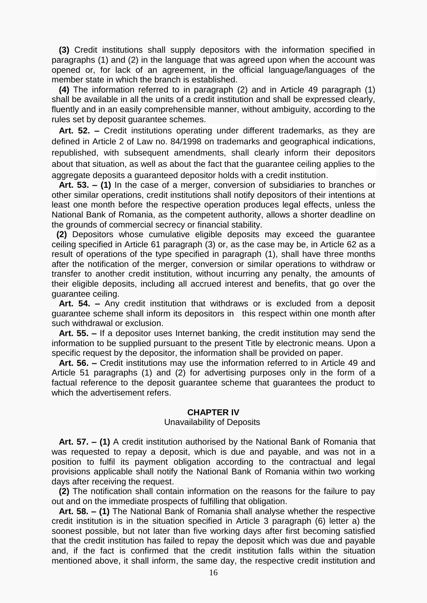**(3)** Credit institutions shall supply depositors with the information specified in paragraphs (1) and (2) in the language that was agreed upon when the account was opened or, for lack of an agreement, in the official language/languages of the member state in which the branch is established.

 **(4)** The information referred to in paragraph (2) and in Article 49 [paragraph](act:871892%2086298304) (1) shall be available in all the units of a credit institution and shall be expressed clearly, fluently and in an easily comprehensible manner, without ambiguity, according to the rules set by deposit guarantee schemes.

 **Art. 52. –** Credit institutions operating under different trademarks, as they are defined in [Article](act:397343%2067714766) 2 of Law no. 84/1998 on trademarks and geographical indications, republished, with subsequent amendments, shall clearly inform their depositors about that situation, as well as about the fact that the guarantee ceiling applies to the aggregate deposits a guaranteed depositor holds with a credit institution.

 **Art. 53. – (1)** In the case of a merger, conversion of subsidiaries to branches or other similar operations, credit institutions shall notify depositors of their intentions at least one month before the respective operation produces legal effects, unless the National Bank of Romania, as the competent authority, allows a shorter deadline on the grounds of commercial secrecy or financial stability.

 **(2)** Depositors whose cumulative eligible deposits may exceed the guarantee ceiling specified in Article 61 [paragraph](act:871892%2086298343) (3) or, as the case may be, in [Article 62](act:871892%2086298347) as a result of operations of the type specified in paragraph (1), shall have three months after the notification of the merger, conversion or similar operations to withdraw or transfer to another credit institution, without incurring any penalty, the amounts of their eligible deposits, including all accrued interest and benefits, that go over the guarantee ceiling.

 **Art. 54. –** Any credit institution that withdraws or is excluded from a deposit guarantee scheme shall inform its depositors in this respect within one month after such withdrawal or exclusion.

 **Art. 55. –** If a depositor uses Internet banking, the credit institution may send the information to be supplied pursuant to the present Title by electronic means. Upon a specific request by the depositor, the information shall be provided on paper.

 **Art. 56. –** Credit institutions may use the information referred to in [Article](act:871892%2086298303) 49 and Article 51 [paragraphs](act:871892%2086298309) (1) and [\(2\)](act:871892%2086298310) for advertising purposes only in the form of a factual reference to the deposit guarantee scheme that guarantees the product to which the advertisement refers.

## **CHAPTER IV**

## Unavailability of Deposits

 **Art. 57. – (1)** A credit institution authorised by the National Bank of Romania that was requested to repay a deposit, which is due and payable, and was not in a position to fulfil its payment obligation according to the contractual and legal provisions applicable shall notify the National Bank of Romania within two working days after receiving the request.

 **(2)** The notification shall contain information on the reasons for the failure to pay out and on the immediate prospects of fulfilling that obligation.

 **Art. 58. – (1)** The National Bank of Romania shall analyse whether the respective credit institution is in the situation specified in Article 3 paragraph (6) [letter](act:871892%2086298096) a) the soonest possible, but not later than five working days after first becoming satisfied that the credit institution has failed to repay the deposit which was due and payable and, if the fact is confirmed that the credit institution falls within the situation mentioned above, it shall inform, the same day, the respective credit institution and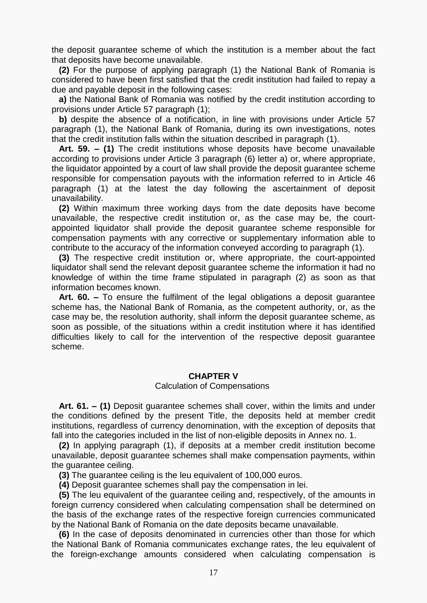the deposit guarantee scheme of which the institution is a member about the fact that deposits have become unavailable.

 **(2)** For the purpose of applying paragraph (1) the National Bank of Romania is considered to have been first satisfied that the credit institution had failed to repay a due and payable deposit in the following cases:

 **a)** the National Bank of Romania was notified by the credit institution according to provisions under Article 57 [paragraph](act:871892%2086298326) (1);

 **b)** despite the absence of a notification, in line with provisions under Article 57 [paragraph](act:871892%2086298326) (1), the National Bank of Romania, during its own investigations, notes that the credit institution falls within the situation described in paragraph (1).

 **Art. 59. – (1)** The credit institutions whose deposits have become unavailable according to provisions under Article 3 paragraph (6) [letter a\)](act:871892%2086298096) or, where appropriate, the liquidator appointed by a court of law shall provide the deposit guarantee scheme responsible for compensation payouts with the information referred to in Article 46 [paragraph](act:871892%2086298295) (1) at the latest the day following the ascertainment of deposit unavailability.

 **(2)** Within maximum three working days from the date deposits have become unavailable, the respective credit institution or, as the case may be, the courtappointed liquidator shall provide the deposit guarantee scheme responsible for compensation payments with any corrective or supplementary information able to contribute to the accuracy of the information conveyed according to paragraph (1).

 **(3)** The respective credit institution or, where appropriate, the court-appointed liquidator shall send the relevant deposit guarantee scheme the information it had no knowledge of within the time frame stipulated in paragraph (2) as soon as that information becomes known.

 **Art. 60. –** To ensure the fulfilment of the legal obligations a deposit guarantee scheme has, the National Bank of Romania, as the competent authority, or, as the case may be, the resolution authority, shall inform the deposit guarantee scheme, as soon as possible, of the situations within a credit institution where it has identified difficulties likely to call for the intervention of the respective deposit guarantee scheme.

## **CHAPTER V**

#### Calculation of Compensations

 **Art. 61. – (1)** Deposit guarantee schemes shall cover, within the limits and under the conditions defined by the present Title, the deposits held at member credit institutions, regardless of currency denomination, with the exception of deposits that fall into the categories included in the list of non-eligible deposits in Annex [no. 1.](act:871892%2086298716)

 **(2)** In applying paragraph (1), if deposits at a member credit institution become unavailable, deposit guarantee schemes shall make compensation payments, within the guarantee ceiling.

**(3)** The guarantee ceiling is the leu equivalent of 100,000 euros.

**(4)** Deposit guarantee schemes shall pay the compensation in lei.

 **(5)** The leu equivalent of the guarantee ceiling and, respectively, of the amounts in foreign currency considered when calculating compensation shall be determined on the basis of the exchange rates of the respective foreign currencies communicated by the National Bank of Romania on the date deposits became unavailable.

 **(6)** In the case of deposits denominated in currencies other than those for which the National Bank of Romania communicates exchange rates, the leu equivalent of the foreign-exchange amounts considered when calculating compensation is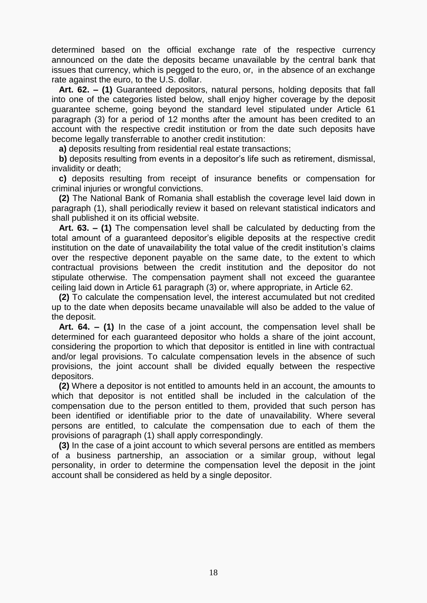determined based on the official exchange rate of the respective currency announced on the date the deposits became unavailable by the central bank that issues that currency, which is pegged to the euro, or, in the absence of an exchange rate against the euro, to the U.S. dollar.

 **Art. 62. – (1)** Guaranteed depositors, natural persons, holding deposits that fall into one of the categories listed below, shall enjoy higher coverage by the deposit guarantee scheme, going beyond the standard level stipulated under Article 61 [paragraph](act:871892%2086298343) (3) for a period of 12 months after the amount has been credited to an account with the respective credit institution or from the date such deposits have become legally transferrable to another credit institution:

**a)** deposits resulting from residential real estate transactions;

 **b)** deposits resulting from events in a depositor's life such as retirement, dismissal, invalidity or death;

 **c)** deposits resulting from receipt of insurance benefits or compensation for criminal injuries or wrongful convictions.

 **(2)** The National Bank of Romania shall establish the coverage level laid down in paragraph (1), shall periodically review it based on relevant statistical indicators and shall published it on its official website.

 **Art. 63. – (1)** The compensation level shall be calculated by deducting from the total amount of a guaranteed depositor's eligible deposits at the respective credit institution on the date of unavailability the total value of the credit institution's claims over the respective deponent payable on the same date, to the extent to which contractual provisions between the credit institution and the depositor do not stipulate otherwise. The compensation payment shall not exceed the guarantee ceiling laid down in Article 61 [paragraph](act:871892%2086298343) (3) or, where appropriate, in [Article](act:871892%2086298347) 62.

 **(2)** To calculate the compensation level, the interest accumulated but not credited up to the date when deposits became unavailable will also be added to the value of the deposit.

 **Art. 64. – (1)** In the case of a joint account, the compensation level shall be determined for each guaranteed depositor who holds a share of the joint account, considering the proportion to which that depositor is entitled in line with contractual and/or legal provisions. To calculate compensation levels in the absence of such provisions, the joint account shall be divided equally between the respective depositors.

 **(2)** Where a depositor is not entitled to amounts held in an account, the amounts to which that depositor is not entitled shall be included in the calculation of the compensation due to the person entitled to them, provided that such person has been identified or identifiable prior to the date of unavailability. Where several persons are entitled, to calculate the compensation due to each of them the provisions of paragraph (1) shall apply correspondingly.

 **(3)** In the case of a joint account to which several persons are entitled as members of a business partnership, an association or a similar group, without legal personality, in order to determine the compensation level the deposit in the joint account shall be considered as held by a single depositor.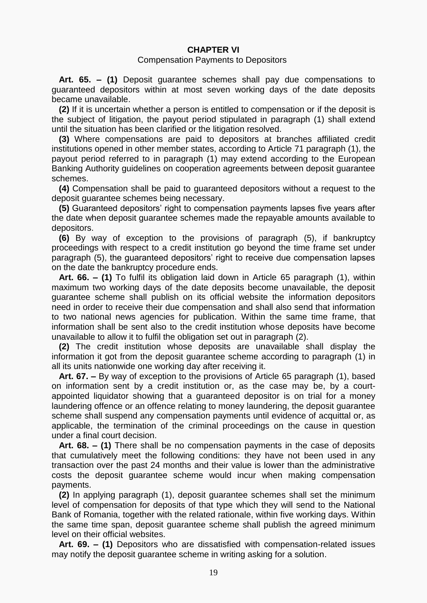# **CHAPTER VI**

#### Compensation Payments to Depositors

 **Art. 65. – (1)** Deposit guarantee schemes shall pay due compensations to guaranteed depositors within at most seven working days of the date deposits became unavailable.

 **(2)** If it is uncertain whether a person is entitled to compensation or if the deposit is the subject of litigation, the payout period stipulated in paragraph (1) shall extend until the situation has been clarified or the litigation resolved.

 **(3)** Where compensations are paid to depositors at branches affiliated credit institutions opened in other member states, according to Article 71 [paragraph \(1\),](act:871892%2086298385) the payout period referred to in paragraph (1) may extend according to the European Banking Authority guidelines on cooperation agreements between deposit guarantee schemes.

 **(4)** Compensation shall be paid to guaranteed depositors without a request to the deposit guarantee schemes being necessary.

 **(5)** Guaranteed depositors' right to compensation payments lapses five years after the date when deposit guarantee schemes made the repayable amounts available to depositors.

 **(6)** By way of exception to the provisions of paragraph (5), if bankruptcy proceedings with respect to a credit institution go beyond the time frame set under paragraph (5), the guaranteed depositors' right to receive due compensation lapses on the date the bankruptcy procedure ends.

 **Art. 66. – (1)** To fulfil its obligation laid down in Article 65 [paragraph](act:871892%2086298362) (1), within maximum two working days of the date deposits become unavailable, the deposit guarantee scheme shall publish on its official website the information depositors need in order to receive their due compensation and shall also send that information to two national news agencies for publication. Within the same time frame, that information shall be sent also to the credit institution whose deposits have become unavailable to allow it to fulfil the obligation set out in paragraph (2).

 **(2)** The credit institution whose deposits are unavailable shall display the information it got from the deposit guarantee scheme according to paragraph (1) in all its units nationwide one working day after receiving it.

 **Art. 67. –** By way of exception to the provisions of Article 65 [paragraph](act:871892%2086298362) (1), based on information sent by a credit institution or, as the case may be, by a courtappointed liquidator showing that a guaranteed depositor is on trial for a money laundering offence or an offence relating to money laundering, the deposit guarantee scheme shall suspend any compensation payments until evidence of acquittal or, as applicable, the termination of the criminal proceedings on the cause in question under a final court decision.

 **Art. 68. – (1)** There shall be no compensation payments in the case of deposits that cumulatively meet the following conditions: they have not been used in any transaction over the past 24 months and their value is lower than the administrative costs the deposit guarantee scheme would incur when making compensation payments.

 **(2)** In applying paragraph (1), deposit guarantee schemes shall set the minimum level of compensation for deposits of that type which they will send to the National Bank of Romania, together with the related rationale, within five working days. Within the same time span, deposit guarantee scheme shall publish the agreed minimum level on their official websites.

 **Art. 69. – (1)** Depositors who are dissatisfied with compensation-related issues may notify the deposit guarantee scheme in writing asking for a solution.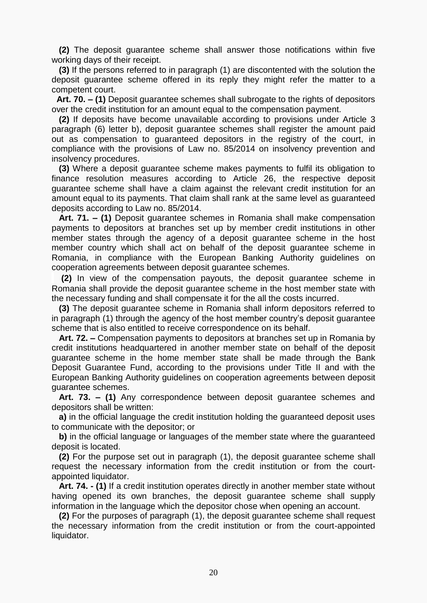**(2)** The deposit guarantee scheme shall answer those notifications within five working days of their receipt.

 **(3)** If the persons referred to in paragraph (1) are discontented with the solution the deposit guarantee scheme offered in its reply they might refer the matter to a competent court.

 **Art. 70. – (1)** Deposit guarantee schemes shall subrogate to the rights of depositors over the credit institution for an amount equal to the compensation payment.

 **(2)** If deposits have become unavailable according to provisions under Article 3 paragraph (6) [letter b\),](act:871892%2086298097) deposit guarantee schemes shall register the amount paid out as compensation to guaranteed depositors in the registry of the court, in compliance with the provisions of Law [no. 85/2014](act:399890%200) on insolvency prevention and insolvency procedures.

 **(3)** Where a deposit guarantee scheme makes payments to fulfil its obligation to finance resolution measures according to [Article](act:871892%2086298198) 26, the respective deposit guarantee scheme shall have a claim against the relevant credit institution for an amount equal to its payments. That claim shall rank at the same level as guaranteed deposits according to Law [no. 85/2014.](act:399890%200)

 **Art. 71. – (1)** Deposit guarantee schemes in Romania shall make compensation payments to depositors at branches set up by member credit institutions in other member states through the agency of a deposit guarantee scheme in the host member country which shall act on behalf of the deposit guarantee scheme in Romania, in compliance with the European Banking Authority guidelines on cooperation agreements between deposit guarantee schemes.

 **(2)** In view of the compensation payouts, the deposit guarantee scheme in Romania shall provide the deposit guarantee scheme in the host member state with the necessary funding and shall compensate it for the all the costs incurred.

 **(3)** The deposit guarantee scheme in Romania shall inform depositors referred to in paragraph (1) through the agency of the host member country's deposit guarantee scheme that is also entitled to receive correspondence on its behalf.

 **Art. 72. –** Compensation payments to depositors at branches set up in Romania by credit institutions headquartered in another member state on behalf of the deposit guarantee scheme in the home member state shall be made through the Bank Deposit Guarantee Fund, according to the provisions under Title II and with the European Banking Authority guidelines on cooperation agreements between deposit guarantee schemes.

 **Art. 73. – (1)** Any correspondence between deposit guarantee schemes and depositors shall be written:

 **a)** in the official language the credit institution holding the guaranteed deposit uses to communicate with the depositor; or

 **b)** in the official language or languages of the member state where the guaranteed deposit is located.

 **(2)** For the purpose set out in paragraph (1), the deposit guarantee scheme shall request the necessary information from the credit institution or from the courtappointed liquidator.

 **Art. 74. - (1)** If a credit institution operates directly in another member state without having opened its own branches, the deposit guarantee scheme shall supply information in the language which the depositor chose when opening an account.

 **(2)** For the purposes of paragraph (1), the deposit guarantee scheme shall request the necessary information from the credit institution or from the court-appointed liquidator.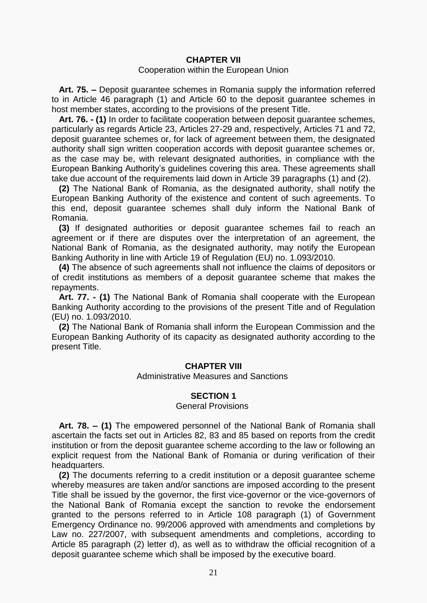# **CHAPTER VII**

#### Cooperation within the European Union

 **Art. 75. –** Deposit guarantee schemes in Romania supply the information referred to in Article 46 [paragraph](act:871892%2086298295) (1) and [Article](act:871892%2086298337) 60 to the deposit guarantee schemes in host member states, according to the provisions of the present Title.

 **Art. 76. - (1)** In order to facilitate cooperation between deposit guarantee schemes, particularly as regards [Article](act:871892%2086298187) 23, [Articles](act:871892%2086298202) 27[-29](act:871892%2086298215) and, respectively, [Articles](act:871892%2086298384) 71 and [72,](act:871892%2086298388) deposit guarantee schemes or, for lack of agreement between them, the designated authority shall sign written cooperation accords with deposit guarantee schemes or, as the case may be, with relevant designated authorities, in compliance with the European Banking Authority's guidelines covering this area. These agreements shall take due account of the requirements laid down in Article 39 [paragraphs](act:871892%2086298270) (1) and [\(2\).](act:871892%2086298271)

 **(2)** The National Bank of Romania, as the designated authority, shall notify the European Banking Authority of the existence and content of such agreements. To this end, deposit guarantee schemes shall duly inform the National Bank of Romania.

 **(3)** If designated authorities or deposit guarantee schemes fail to reach an agreement or if there are disputes over the interpretation of an agreement, the National Bank of Romania, as the designated authority, may notify the European Banking Authority in line with [Article](act:337952%2063776937) 19 of Regulation (EU) no. 1.093/2010.

 **(4)** The absence of such agreements shall not influence the claims of depositors or of credit institutions as members of a deposit guarantee scheme that makes the repayments.

 **Art. 77. - (1)** The National Bank of Romania shall cooperate with the European Banking Authority according to the provisions of the present Title and of Regulation (EU) [no. 1.093/2010.](act:337952%200)

 **(2)** The National Bank of Romania shall inform the European Commission and the European Banking Authority of its capacity as designated authority according to the present Title.

## **CHAPTER VIII**

Administrative Measures and Sanctions

# **SECTION 1**

## General Provisions

 **Art. 78. – (1)** The empowered personnel of the National Bank of Romania shall ascertain the facts set out in [Articles](act:871892%2086298427) 82, [83](act:871892%2086298443) and [85](act:871892%2086298447) based on reports from the credit institution or from the deposit guarantee scheme according to the law or following an explicit request from the National Bank of Romania or during verification of their headquarters.

 **(2)** The documents referring to a credit institution or a deposit guarantee scheme whereby measures are taken and/or sanctions are imposed according to the present Title shall be issued by the governor, the first vice-governor or the vice-governors of the National Bank of Romania except the sanction to revoke the endorsement granted to the persons referred to in Article 108 [paragraph](act:101819%2075673874) (1) of Government Emergency Ordinance no. 99/2006 approved with amendments and completions by Law [no. 227/2007,](act:106952%200) with subsequent amendments and completions, according to Article 85 paragraph (2) [letter](act:871892%2086298457) d), as well as to withdraw the official recognition of a deposit guarantee scheme which shall be imposed by the executive board.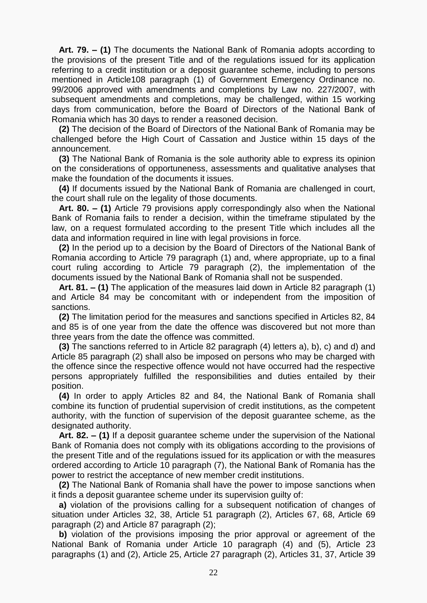**Art. 79. – (1)** The documents the National Bank of Romania adopts according to the provisions of the present Title and of the regulations issued for its application referring to a credit institution or a deposit guarantee scheme, including to persons mentioned in Article108 [paragraph \(1\)](act:101819%2075673874) of Government Emergency Ordinance no. 99/2006 approved with amendments and completions by Law [no. 227/2007,](act:106952%200) with subsequent amendments and completions, may be challenged, within 15 working days from communication, before the Board of Directors of the National Bank of Romania which has 30 days to render a reasoned decision.

 **(2)** The decision of the Board of Directors of the National Bank of Romania may be challenged before the High Court of Cassation and Justice within 15 days of the announcement.

 **(3)** The National Bank of Romania is the sole authority able to express its opinion on the considerations of opportuneness, assessments and qualitative analyses that make the foundation of the documents it issues.

 **(4)** If documents issued by the National Bank of Romania are challenged in court, the court shall rule on the legality of those documents.

 **Art. 80. – (1)** [Article](act:871892%2086298414) 79 provisions apply correspondingly also when the National Bank of Romania fails to render a decision, within the timeframe stipulated by the law, on a request formulated according to the present Title which includes all the data and information required in line with legal provisions in force.

 **(2)** In the period up to a decision by the Board of Directors of the National Bank of Romania according to Article 79 [paragraph](act:871892%2086298415) (1) and, where appropriate, up to a final court ruling according to Article 79 [paragraph](act:871892%2086298416) (2), the implementation of the documents issued by the National Bank of Romania shall not be suspended.

 **Art. 81. – (1)** The application of the measures laid down in Article 82 [paragraph](act:871892%2086298428) (1) and [Article](act:871892%2086298445) 84 may be concomitant with or independent from the imposition of sanctions.

 **(2)** The limitation period for the measures and sanctions specified in [Articles 82,](act:871892%2086298427) [84](act:871892%2086298445) and [85](act:871892%2086298447) is of one year from the date the offence was discovered but not more than three years from the date the offence was committed.

 **(3)** The sanctions referred to in Article 82 paragraph (4) [letters](act:871892%2086298436) a), [b\),](act:871892%2086298437) [c\)](act:871892%2086298438) and [d\)](act:871892%2086298439) and Article 85 [paragraph](act:871892%2086298453) (2) shall also be imposed on persons who may be charged with the offence since the respective offence would not have occurred had the respective persons appropriately fulfilled the responsibilities and duties entailed by their position.

 **(4)** In order to apply [Articles](act:871892%2086298427) 82 and [84,](act:871892%2086298445) the National Bank of Romania shall combine its function of prudential supervision of credit institutions, as the competent authority, with the function of supervision of the deposit guarantee scheme, as the designated authority.

 **Art. 82. – (1)** If a deposit guarantee scheme under the supervision of the National Bank of Romania does not comply with its obligations according to the provisions of the present Title and of the regulations issued for its application or with the measures ordered according to Article 10 [paragraph](act:871892%2086298138) (7), the National Bank of Romania has the power to restrict the acceptance of new member credit institutions.

 **(2)** The National Bank of Romania shall have the power to impose sanctions when it finds a deposit guarantee scheme under its supervision guilty of:

 **a)** violation of the provisions calling for a subsequent notification of changes of situation under [Articles](act:871892%2086298227) 32, [38,](act:871892%2086298265) Article 51 [paragraph](act:871892%2086298310) (2), [Articles](act:871892%2086298371) 67, [68,](act:871892%2086298373) Article 69 [paragraph](act:871892%2086298378) (2) and Article 87 [paragraph \(2\);](act:871892%2086298378)

 **b)** violation of the provisions imposing the prior approval or agreement of the National Bank of Romania under Article 10 [paragraph](act:871892%2086298135) (4) and [\(5\),](act:871892%2086298136) Article 23 [paragraphs](act:871892%2086298188) (1) and [\(2\),](act:871892%2086298189) [Article](act:871892%2086298196) 25, Article 27 [paragraph](act:871892%2086298211) (2), [Articles](act:871892%2086298224) 31, [37,](act:871892%2086298261) Article 39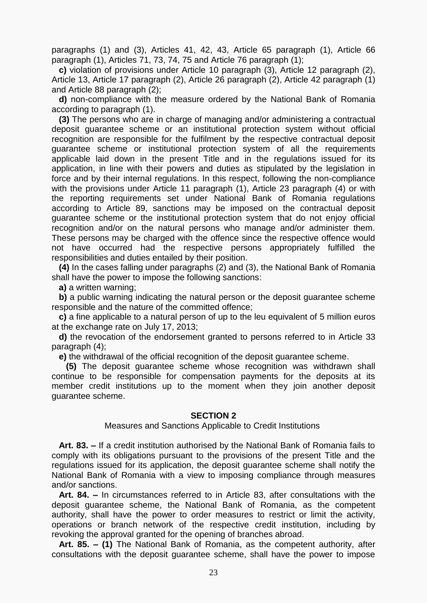[paragraphs](act:871892%2086298270) (1) and [\(3\),](act:871892%2086298272) [Articles](act:871892%2086298275) 41, [42,](act:871892%2086298278) [43,](act:871892%2086298284) Article 65 [paragraph](act:871892%2086298362) (1), Article 66 [paragraph](act:871892%2086298369) (1), [Articles](act:871892%2086298384) 71, [73,](act:871892%2086298390) [74,](act:871892%2086298395) [75](act:871892%2086298399) and Article 76 [paragraph](act:871892%2086298402) (1);

 **c)** violation of provisions under Article 10 [paragraph](act:871892%2086298134) (3), Article 12 [paragraph](act:871892%2086298153) (2), [Article](act:871892%2086298154) 13, Article 17 [paragraph](act:871892%2086298169) (2), Article 26 [paragraph](act:871892%2086298200) (2), Article 42 [paragraph](act:871892%2086298279) (1) and Article 88 [paragraph](act:871892%2086298473) (2);

 **d)** non-compliance with the measure ordered by the National Bank of Romania according to paragraph (1).

 **(3)** The persons who are in charge of managing and/or administering a contractual deposit guarantee scheme or an institutional protection system without official recognition are responsible for the fulfilment by the respective contractual deposit guarantee scheme or institutional protection system of all the requirements applicable laid down in the present Title and in the regulations issued for its application, in line with their powers and duties as stipulated by the legislation in force and by their internal regulations. In this respect, following the non-compliance with the provisions under Article 11 [paragraph](act:871892%2086298143) (1), Article 23 [paragraph](act:871892%2086298191) (4) or with the reporting requirements set under National Bank of Romania regulations according to [Article](act:871892%2086298474) 89, sanctions may be imposed on the contractual deposit guarantee scheme or the institutional protection system that do not enjoy official recognition and/or on the natural persons who manage and/or administer them. These persons may be charged with the offence since the respective offence would not have occurred had the respective persons appropriately fulfilled the responsibilities and duties entailed by their position.

 **(4)** In the cases falling under paragraphs (2) and (3), the National Bank of Romania shall have the power to impose the following sanctions:

**a)** a written warning;

 **b)** a public warning indicating the natural person or the deposit guarantee scheme responsible and the nature of the committed offence;

 **c)** a fine applicable to a natural person of up to the leu equivalent of 5 million euros at the exchange rate on July 17, 2013;

 **d)** the revocation of the endorsement granted to persons referred to in Article 33 [paragraph](act:871892%2086298234) (4);

**e)** the withdrawal of the official recognition of the deposit guarantee scheme.

 **(5)** The deposit guarantee scheme whose recognition was withdrawn shall continue to be responsible for compensation payments for the deposits at its member credit institutions up to the moment when they join another deposit guarantee scheme.

## **SECTION 2**

Measures and Sanctions Applicable to Credit Institutions

 **Art. 83. –** If a credit institution authorised by the National Bank of Romania fails to comply with its obligations pursuant to the provisions of the present Title and the regulations issued for its application, the deposit guarantee scheme shall notify the National Bank of Romania with a view to imposing compliance through measures and/or sanctions.

 **Art. 84. –** In circumstances referred to in [Article](act:871892%2086298443) 83, after consultations with the deposit guarantee scheme, the National Bank of Romania, as the competent authority, shall have the power to order measures to restrict or limit the activity, operations or branch network of the respective credit institution, including by revoking the approval granted for the opening of branches abroad.

 **Art. 85. – (1)** The National Bank of Romania, as the competent authority, after consultations with the deposit guarantee scheme, shall have the power to impose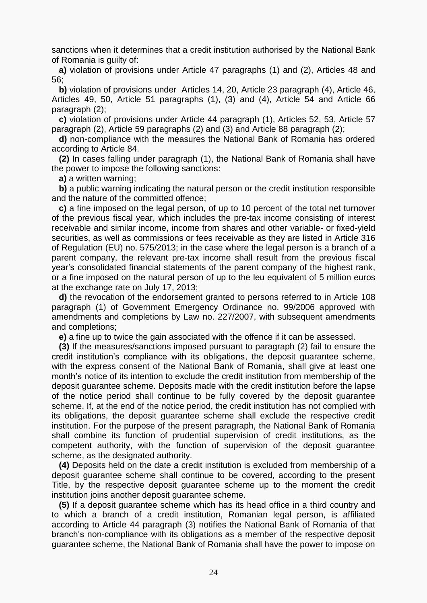sanctions when it determines that a credit institution authorised by the National Bank of Romania is guilty of:

 **a)** violation of provisions under Article 47 [paragraphs](act:871892%2086298298) (1) and [\(2\),](act:871892%2086298299) [Articles](act:871892%2086298300) 48 and [56;](act:871892%2086298322)

 **b)** violation of provisions under [Articles](act:871892%2086298156) 14, [20,](act:871892%2086298176) Article 23 [paragraph](act:871892%2086298191) (4), [Article](act:871892%2086298294) 46, [Articles](act:871892%2086298303) 49, [50,](act:871892%2086298306) Article 51 [paragraphs \(1\),](act:871892%2086298309) [\(3\)](act:871892%2086298311) and [\(4\),](act:871892%2086298312) [Article](act:871892%2086298318) 54 and Article 66 [paragraph](act:871892%2086298370) (2);

 **c)** violation of provisions under Article 44 [paragraph](act:871892%2086298289) (1), [Articles](act:871892%2086298313) 52, [53,](act:871892%2086298315) Article 57 [paragraph](act:871892%2086298327) (2), Article 59 [paragraphs](act:871892%2086298335) (2) and [\(3\)](act:871892%2086298336) and Article 88 [paragraph](act:871892%2086298473) (2);

 **d)** non-compliance with the measures the National Bank of Romania has ordered according to [Article](act:871892%2086298445) 84.

 **(2)** In cases falling under paragraph (1), the National Bank of Romania shall have the power to impose the following sanctions:

**a)** a written warning;

 **b)** a public warning indicating the natural person or the credit institution responsible and the nature of the committed offence;

 **c)** a fine imposed on the legal person, of up to 10 percent of the total net turnover of the previous fiscal year, which includes the pre-tax income consisting of interest receivable and similar income, income from shares and other variable- or fixed-yield securities, as well as commissions or fees receivable as they are listed in [Article](act:387730%2066588238) 316 of Regulation (EU) no. 575/2013; in the case where the legal person is a branch of a parent company, the relevant pre-tax income shall result from the previous fiscal year's consolidated financial statements of the parent company of the highest rank, or a fine imposed on the natural person of up to the leu equivalent of 5 million euros at the exchange rate on July 17, 2013;

 **d)** the revocation of the endorsement granted to persons referred to in Article 108 [paragraph](act:101819%2075673874) (1) of Government Emergency Ordinance no. 99/2006 approved with amendments and completions by Law [no. 227/2007,](act:106952%200) with subsequent amendments and completions;

**e)** a fine up to twice the gain associated with the offence if it can be assessed.

 **(3)** If the measures/sanctions imposed pursuant to paragraph (2) fail to ensure the credit institution's compliance with its obligations, the deposit guarantee scheme, with the express consent of the National Bank of Romania, shall give at least one month's notice of its intention to exclude the credit institution from membership of the deposit guarantee scheme. Deposits made with the credit institution before the lapse of the notice period shall continue to be fully covered by the deposit guarantee scheme. If, at the end of the notice period, the credit institution has not complied with its obligations, the deposit guarantee scheme shall exclude the respective credit institution. For the purpose of the present paragraph, the National Bank of Romania shall combine its function of prudential supervision of credit institutions, as the competent authority, with the function of supervision of the deposit guarantee scheme, as the designated authority.

 **(4)** Deposits held on the date a credit institution is excluded from membership of a deposit guarantee scheme shall continue to be covered, according to the present Title, by the respective deposit guarantee scheme up to the moment the credit institution joins another deposit guarantee scheme.

 **(5)** If a deposit guarantee scheme which has its head office in a third country and to which a branch of a credit institution, Romanian legal person, is affiliated according to Article 44 [paragraph](act:871892%2086298291) (3) notifies the National Bank of Romania of that branch's non-compliance with its obligations as a member of the respective deposit guarantee scheme, the National Bank of Romania shall have the power to impose on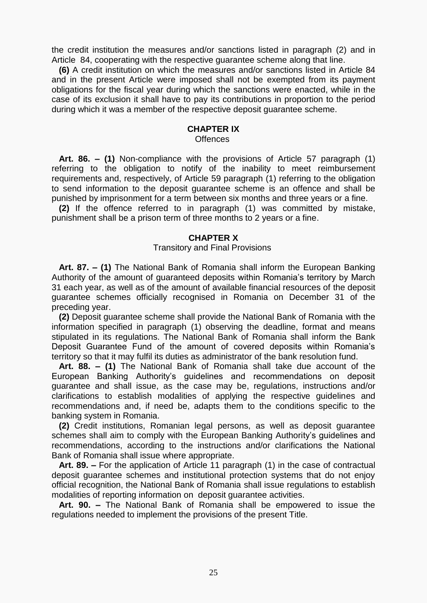the credit institution the measures and/or sanctions listed in paragraph (2) and in [Article 84,](act:871892%2086298445) cooperating with the respective guarantee scheme along that line.

 **(6)** A credit institution on which the measures and/or sanctions listed in [Article](act:871892%2086298445) 84 and in the present Article were imposed shall not be exempted from its payment obligations for the fiscal year during which the sanctions were enacted, while in the case of its exclusion it shall have to pay its contributions in proportion to the period during which it was a member of the respective deposit guarantee scheme.

#### **CHAPTER IX**

#### **Offences**

 **Art. 86. – (1)** Non-compliance with the provisions of Article 57 [paragraph](act:871892%2086298326) (1) referring to the obligation to notify of the inability to meet reimbursement requirements and, respectively, of Article 59 [paragraph](act:871892%2086298334) (1) referring to the obligation to send information to the deposit guarantee scheme is an offence and shall be punished by imprisonment for a term between six months and three years or a fine.

 **(2)** If the offence referred to in paragraph (1) was committed by mistake, punishment shall be a prison term of three months to 2 years or a fine.

#### **CHAPTER X**

#### Transitory and Final Provisions

 **Art. 87. – (1)** The National Bank of Romania shall inform the European Banking Authority of the amount of guaranteed deposits within Romania's territory by March 31 each year, as well as of the amount of available financial resources of the deposit guarantee schemes officially recognised in Romania on December 31 of the preceding year.

 **(2)** Deposit guarantee scheme shall provide the National Bank of Romania with the information specified in paragraph (1) observing the deadline, format and means stipulated in its regulations. The National Bank of Romania shall inform the Bank Deposit Guarantee Fund of the amount of covered deposits within Romania's territory so that it may fulfil its duties as administrator of the bank resolution fund.

 **Art. 88. – (1)** The National Bank of Romania shall take due account of the European Banking Authority's guidelines and recommendations on deposit guarantee and shall issue, as the case may be, regulations, instructions and/or clarifications to establish modalities of applying the respective guidelines and recommendations and, if need be, adapts them to the conditions specific to the banking system in Romania.

 **(2)** Credit institutions, Romanian legal persons, as well as deposit guarantee schemes shall aim to comply with the European Banking Authority's guidelines and recommendations, according to the instructions and/or clarifications the National Bank of Romania shall issue where appropriate.

 **Art. 89. –** For the application of Article 11 [paragraph](act:871892%2086298143) (1) in the case of contractual deposit guarantee schemes and institutional protection systems that do not enjoy official recognition, the National Bank of Romania shall issue regulations to establish modalities of reporting information on deposit guarantee activities.

 **Art. 90. –** The National Bank of Romania shall be empowered to issue the regulations needed to implement the provisions of the present Title.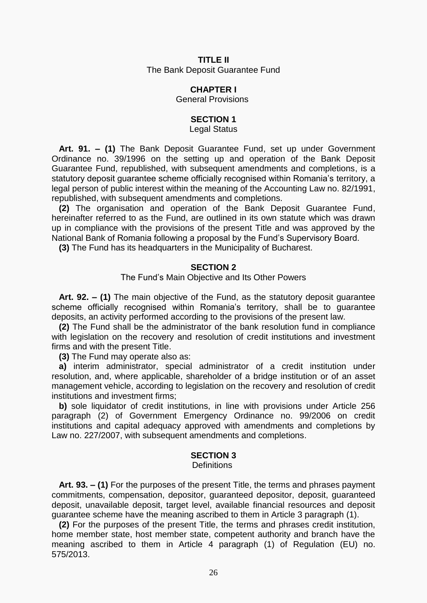# **TITLE II** The Bank Deposit Guarantee Fund

#### **CHAPTER I**

General Provisions

# **SECTION 1**

Legal Status

 **Art. 91. – (1)** The Bank Deposit Guarantee Fund, set up under Government Ordinance [no. 39/1996](act:136737%200) on the setting up and operation of the Bank Deposit Guarantee Fund, republished, with subsequent amendments and completions, is a statutory deposit guarantee scheme officially recognised within Romania's territory, a legal person of public interest within the meaning of the Accounting Law [no. 82/1991,](act:124705%200) republished, with subsequent amendments and completions.

 **(2)** The organisation and operation of the Bank Deposit Guarantee Fund, hereinafter referred to as the Fund, are outlined in its own statute which was drawn up in compliance with the provisions of the present Title and was approved by the National Bank of Romania following a proposal by the Fund's Supervisory Board.

**(3)** The Fund has its headquarters in the Municipality of Bucharest.

#### **SECTION 2**

The Fund's Main Objective and Its Other Powers

 **Art. 92. – (1)** The main objective of the Fund, as the statutory deposit guarantee scheme officially recognised within Romania's territory, shall be to guarantee deposits, an activity performed according to the provisions of the present law.

 **(2)** The Fund shall be the administrator of the bank resolution fund in compliance with legislation on the recovery and resolution of credit institutions and investment firms and with the present Title.

**(3)** The Fund may operate also as:

 **a)** interim administrator, special administrator of a credit institution under resolution, and, where applicable, shareholder of a bridge institution or of an asset management vehicle, according to legislation on the recovery and resolution of credit institutions and investment firms;

 **b)** sole liquidator of credit institutions, in line with provisions under Article 256 [paragraph](act:101819%2030729854) (2) of Government Emergency Ordinance no. 99/2006 on credit institutions and capital adequacy approved with amendments and completions by Law [no. 227/2007,](act:106952%200) with subsequent amendments and completions.

## **SECTION 3**

#### **Definitions**

 **Art. 93. – (1)** For the purposes of the present Title, the terms and phrases payment commitments, compensation, depositor, guaranteed depositor, deposit, guaranteed deposit, unavailable deposit, target level, available financial resources and deposit guarantee scheme have the meaning ascribed to them in Article 3 [paragraph \(1\).](act:871892%2086298068)

 **(2)** For the purposes of the present Title, the terms and phrases credit institution, home member state, host member state, competent authority and branch have the meaning ascribed to them in Article 4 [paragraph](act:387730%2066584303) (1) of Regulation (EU) no. 575/2013.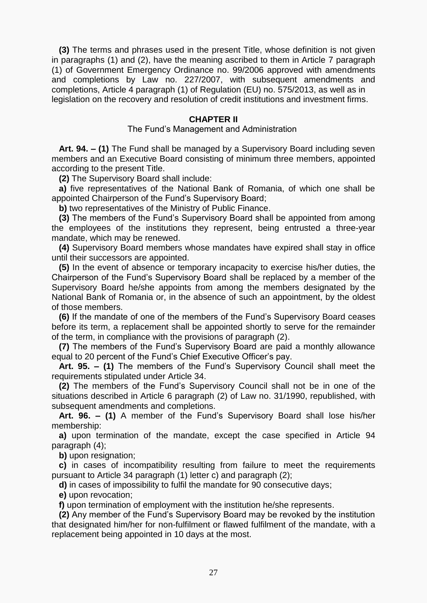**(3)** The terms and phrases used in the present Title, whose definition is not given in paragraphs (1) and (2), have the meaning ascribed to them in Article 7 [paragraph](act:101819%2030728661) [\(1\)](act:101819%2030728661) of Government Emergency Ordinance no. 99/2006 approved with amendments and completions by Law [no. 227/2007,](act:106952%200) with subsequent amendments and completions, Article 4 [paragraph](act:387730%2066584303) (1) of Regulation (EU) no. 575/2013, as well as in legislation on the recovery and resolution of credit institutions and investment firms.

#### **CHAPTER II**

#### The Fund's Management and Administration

 **Art. 94. – (1)** The Fund shall be managed by a Supervisory Board including seven members and an Executive Board consisting of minimum three members, appointed according to the present Title.

**(2)** The Supervisory Board shall include:

 **a)** five representatives of the National Bank of Romania, of which one shall be appointed Chairperson of the Fund's Supervisory Board;

**b)** two representatives of the Ministry of Public Finance.

 **(3)** The members of the Fund's Supervisory Board shall be appointed from among the employees of the institutions they represent, being entrusted a three-year mandate, which may be renewed.

 **(4)** Supervisory Board members whose mandates have expired shall stay in office until their successors are appointed.

 **(5)** In the event of absence or temporary incapacity to exercise his/her duties, the Chairperson of the Fund's Supervisory Board shall be replaced by a member of the Supervisory Board he/she appoints from among the members designated by the National Bank of Romania or, in the absence of such an appointment, by the oldest of those members.

 **(6)** If the mandate of one of the members of the Fund's Supervisory Board ceases before its term, a replacement shall be appointed shortly to serve for the remainder of the term, in compliance with the provisions of paragraph (2).

 **(7)** The members of the Fund's Supervisory Board are paid a monthly allowance equal to 20 percent of the Fund's Chief Executive Officer's pay.

 **Art. 95. – (1)** The members of the Fund's Supervisory Council shall meet the requirements stipulated under [Article](act:871892%2086298236) 34.

 **(2)** The members of the Fund's Supervisory Council shall not be in one of the situations described in Article 6 [paragraph](act:68487%2063057752) (2) of Law no. 31/1990, republished, with subsequent amendments and completions.

 **Art. 96. – (1)** A member of the Fund's Supervisory Board shall lose his/her membership:

 **a)** upon termination of the mandate, except the case specified in Article 94 [paragraph](act:871892%2086298504) (4);

**b)** upon resignation;

 **c)** in cases of incompatibility resulting from failure to meet the requirements pursuant to Article 34 paragraph (1) [letter](act:871892%2086298240) c) and [paragraph](act:871892%2086298241) (2);

**d)** in cases of impossibility to fulfil the mandate for 90 consecutive days;

**e)** upon revocation;

**f)** upon termination of employment with the institution he/she represents.

 **(2)** Any member of the Fund's Supervisory Board may be revoked by the institution that designated him/her for non-fulfilment or flawed fulfilment of the mandate, with a replacement being appointed in 10 days at the most.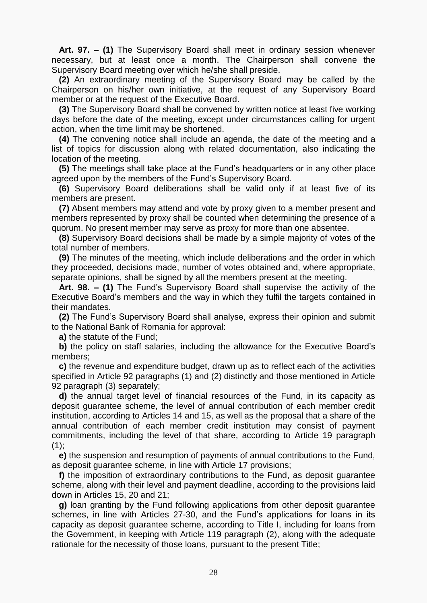**Art. 97. – (1)** The Supervisory Board shall meet in ordinary session whenever necessary, but at least once a month. The Chairperson shall convene the Supervisory Board meeting over which he/she shall preside.

 **(2)** An extraordinary meeting of the Supervisory Board may be called by the Chairperson on his/her own initiative, at the request of any Supervisory Board member or at the request of the Executive Board.

 **(3)** The Supervisory Board shall be convened by written notice at least five working days before the date of the meeting, except under circumstances calling for urgent action, when the time limit may be shortened.

 **(4)** The convening notice shall include an agenda, the date of the meeting and a list of topics for discussion along with related documentation, also indicating the location of the meeting.

 **(5)** The meetings shall take place at the Fund's headquarters or in any other place agreed upon by the members of the Fund's Supervisory Board.

 **(6)** Supervisory Board deliberations shall be valid only if at least five of its members are present.

 **(7)** Absent members may attend and vote by proxy given to a member present and members represented by proxy shall be counted when determining the presence of a quorum. No present member may serve as proxy for more than one absentee.

 **(8)** Supervisory Board decisions shall be made by a simple majority of votes of the total number of members.

 **(9)** The minutes of the meeting, which include deliberations and the order in which they proceeded, decisions made, number of votes obtained and, where appropriate, separate opinions, shall be signed by all the members present at the meeting.

 **Art. 98. – (1)** The Fund's Supervisory Board shall supervise the activity of the Executive Board's members and the way in which they fulfil the targets contained in their mandates.

 **(2)** The Fund's Supervisory Board shall analyse, express their opinion and submit to the National Bank of Romania for approval:

**a)** the statute of the Fund;

 **b)** the policy on staff salaries, including the allowance for the Executive Board's members;

 **c)** the revenue and expenditure budget, drawn up as to reflect each of the activities specified in Article 92 [paragraphs](act:871892%2086298487) (1) and [\(2\)](act:871892%2086298488) distinctly and those mentioned in Article 92 [paragraph \(3\)](act:871892%2086298489) separately;

 **d)** the annual target level of financial resources of the Fund, in its capacity as deposit guarantee scheme, the level of annual contribution of each member credit institution, according to Articles 14 and 15, as well as the proposal that a share of the annual contribution of each member credit institution may consist of payment commitments, including the level of that share, according to Article 19 [paragraph](act:871892%2086298174)   $(1)$ ;

 **e)** the suspension and resumption of payments of annual contributions to the Fund, as deposit guarantee scheme, in line with [Article](act:871892%2086298167) 17 provisions;

 **f)** the imposition of extraordinary contributions to the Fund, as deposit guarantee scheme, along with their level and payment deadline, according to the provisions laid down in [Articles](act:871892%2086298159) 15, [20](act:871892%2086298176) and [21;](act:871892%2086298180)

 **g)** loan granting by the Fund following applications from other deposit guarantee schemes, in line with [Articles](act:871892%2086298202) 27[-30,](act:871892%2086298220) and the Fund's applications for loans in its capacity as deposit guarantee scheme, according to Title I, including for loans from the Government, in keeping with Article 119 [paragraph](act:871892%2086298669) (2), along with the adequate rationale for the necessity of those loans, pursuant to the present Title;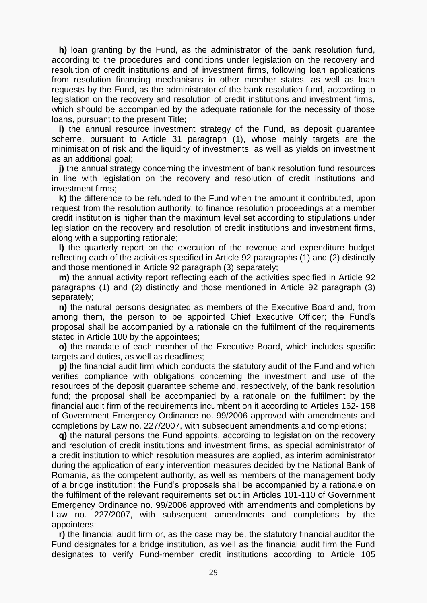**h)** loan granting by the Fund, as the administrator of the bank resolution fund, according to the procedures and conditions under legislation on the recovery and resolution of credit institutions and of investment firms, following loan applications from resolution financing mechanisms in other member states, as well as loan requests by the Fund, as the administrator of the bank resolution fund, according to legislation on the recovery and resolution of credit institutions and investment firms, which should be accompanied by the adequate rationale for the necessity of those loans, pursuant to the present Title;

 **i)** the annual resource investment strategy of the Fund, as deposit guarantee scheme, pursuant to Article 31 [paragraph](act:871892%2086298225) (1), whose mainly targets are the minimisation of risk and the liquidity of investments, as well as yields on investment as an additional goal;

**j)** the annual strategy concerning the investment of bank resolution fund resources in line with legislation on the recovery and resolution of credit institutions and investment firms;

 **k)** the difference to be refunded to the Fund when the amount it contributed, upon request from the resolution authority, to finance resolution proceedings at a member credit institution is higher than the maximum level set according to stipulations under legislation on the recovery and resolution of credit institutions and investment firms, along with a supporting rationale;

 **l)** the quarterly report on the execution of the revenue and expenditure budget reflecting each of the activities specified in Article 92 [paragraphs](act:871892%2086298487) (1) and [\(2\)](act:871892%2086298488) distinctly and those mentioned in Article 92 [paragraph \(3\)](act:871892%2086298489) separately;

 **m)** the annual activity report reflecting each of the activities specified in Article 92 [paragraphs \(1\)](act:871892%2086298487) and [\(2\)](act:871892%2086298488) distinctly and those mentioned in Article 92 [paragraph \(3\)](act:871892%2086298489) separately;

 **n)** the natural persons designated as members of the Executive Board and, from among them, the person to be appointed Chief Executive Officer; the Fund's proposal shall be accompanied by a rationale on the fulfilment of the requirements stated in [Article](act:871892%2086298583) 100 by the appointees;

 **o)** the mandate of each member of the Executive Board, which includes specific targets and duties, as well as deadlines;

 **p)** the financial audit firm which conducts the statutory audit of the Fund and which verifies compliance with obligations concerning the investment and use of the resources of the deposit guarantee scheme and, respectively, of the bank resolution fund; the proposal shall be accompanied by a rationale on the fulfilment by the financial audit firm of the requirements incumbent on it according to [Articles](act:101819%2030729354) 152- [158](act:101819%2030729377) of Government Emergency Ordinance no. 99/2006 approved with amendments and completions by Law [no. 227/2007,](act:106952%200) with subsequent amendments and completions;

 **q)** the natural persons the Fund appoints, according to legislation on the recovery and resolution of credit institutions and investment firms, as special administrator of a credit institution to which resolution measures are applied, as interim administrator during the application of early intervention measures decided by the National Bank of Romania, as the competent authority, as well as members of the management body of a bridge institution; the Fund's proposals shall be accompanied by a rationale on the fulfilment of the relevant requirements set out in [Articles](act:101819%2066552437) 101[-110](act:101819%2033149998) of Government Emergency Ordinance no. 99/2006 approved with amendments and completions by Law [no. 227/2007,](act:106952%200) with subsequent amendments and completions by the appointees;

 **r)** the financial audit firm or, as the case may be, the statutory financial auditor the Fund designates for a bridge institution, as well as the financial audit firm the Fund designates to verify Fund-member credit institutions according to [Article](act:871892%2086298618) 105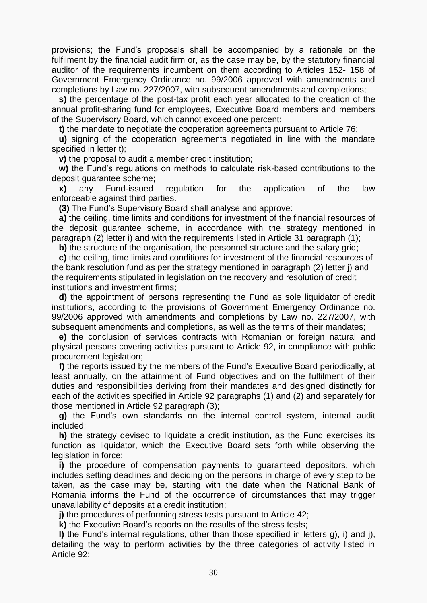provisions; the Fund's proposals shall be accompanied by a rationale on the fulfilment by the financial audit firm or, as the case may be, by the statutory financial auditor of the requirements incumbent on them according to [Articles 152-](act:101819%2030729354) [158](act:101819%2030729377) of Government Emergency Ordinance no. 99/2006 approved with amendments and completions by Law [no. 227/2007,](act:106952%200) with subsequent amendments and completions;

 **s)** the percentage of the post-tax profit each year allocated to the creation of the annual profit-sharing fund for employees, Executive Board members and members of the Supervisory Board, which cannot exceed one percent;

**t)** the mandate to negotiate the cooperation agreements pursuant to [Article 76;](act:871892%2086298401)

 **u)** signing of the cooperation agreements negotiated in line with the mandate specified in letter t);

**v)** the proposal to audit a member credit institution;

 **w)** the Fund's regulations on methods to calculate risk-based contributions to the deposit guarantee scheme;

 **x)** any Fund-issued regulation for the application of the law enforceable against third parties.

**(3)** The Fund's Supervisory Board shall analyse and approve:

 **a)** the ceiling, time limits and conditions for investment of the financial resources of the deposit guarantee scheme, in accordance with the strategy mentioned in paragraph (2) letter i) and with the requirements listed in Article 31 [paragraph](act:871892%2086298225) (1);

**b)** the structure of the organisation, the personnel structure and the salary grid;

 **c)** the ceiling, time limits and conditions for investment of the financial resources of the bank resolution fund as per the strategy mentioned in paragraph (2) letter j) and the requirements stipulated in legislation on the recovery and resolution of credit institutions and investment firms;

 **d)** the appointment of persons representing the Fund as sole liquidator of credit institutions, according to the provisions of Government Emergency Ordinance [no.](act:101819%200)  [99/2006](act:101819%200) approved with amendments and completions by Law [no. 227/2007,](act:106952%200) with subsequent amendments and completions, as well as the terms of their mandates;

 **e)** the conclusion of services contracts with Romanian or foreign natural and physical persons covering activities pursuant to [Article 92,](act:871892%2086298486) in compliance with public procurement legislation;

 **f)** the reports issued by the members of the Fund's Executive Board periodically, at least annually, on the attainment of Fund objectives and on the fulfilment of their duties and responsibilities deriving from their mandates and designed distinctly for each of the activities specified in Article 92 [paragraphs \(1\)](act:871892%2086298487) and [\(2\)](act:871892%2086298488) and separately for those mentioned in Article 92 [paragraph \(3\);](act:871892%2086298489)

 **g)** the Fund's own standards on the internal control system, internal audit included;

 **h)** the strategy devised to liquidate a credit institution, as the Fund exercises its function as liquidator, which the Executive Board sets forth while observing the legislation in force;

 **i)** the procedure of compensation payments to guaranteed depositors, which includes setting deadlines and deciding on the persons in charge of every step to be taken, as the case may be, starting with the date when the National Bank of Romania informs the Fund of the occurrence of circumstances that may trigger unavailability of deposits at a credit institution;

**j)** the procedures of performing stress tests pursuant to [Article](act:871892%2086298278) 42;

**k)** the Executive Board's reports on the results of the stress tests;

 **l)** the Fund's internal regulations, other than those specified in letters g), i) and j), detailing the way to perform activities by the three categories of activity listed in [Article](act:871892%2086298486) 92;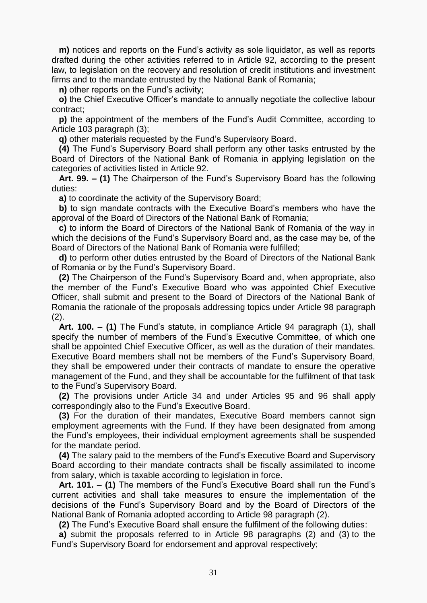**m)** notices and reports on the Fund's activity as sole liquidator, as well as reports drafted during the other activities referred to in [Article 92,](act:871892%2086298486) according to the present law, to legislation on the recovery and resolution of credit institutions and investment firms and to the mandate entrusted by the National Bank of Romania;

**n)** other reports on the Fund's activity;

 **o)** the Chief Executive Officer's mandate to annually negotiate the collective labour contract;

 **p)** the appointment of the members of the Fund's Audit Committee, according to Article 103 [paragraph](act:871892%2086298615) (3);

**q)** other materials requested by the Fund's Supervisory Board.

 **(4)** The Fund's Supervisory Board shall perform any other tasks entrusted by the Board of Directors of the National Bank of Romania in applying legislation on the categories of activities listed in [Article](act:871892%2086298486) 92.

 **Art. 99. – (1)** The Chairperson of the Fund's Supervisory Board has the following duties:

**a)** to coordinate the activity of the Supervisory Board;

 **b)** to sign mandate contracts with the Executive Board's members who have the approval of the Board of Directors of the National Bank of Romania;

 **c)** to inform the Board of Directors of the National Bank of Romania of the way in which the decisions of the Fund's Supervisory Board and, as the case may be, of the Board of Directors of the National Bank of Romania were fulfilled;

 **d)** to perform other duties entrusted by the Board of Directors of the National Bank of Romania or by the Fund's Supervisory Board.

 **(2)** The Chairperson of the Fund's Supervisory Board and, when appropriate, also the member of the Fund's Executive Board who was appointed Chief Executive Officer, shall submit and present to the Board of Directors of the National Bank of Romania the rationale of the proposals addressing topics under Article 98 [paragraph](act:871892%2086298532)  $(2).$ 

 **Art. 100. – (1)** The Fund's statute, in compliance Article 94 [paragraph](act:871892%2086298499) (1), shall specify the number of members of the Fund's Executive Committee, of which one shall be appointed Chief Executive Officer, as well as the duration of their mandates. Executive Board members shall not be members of the Fund's Supervisory Board, they shall be empowered under their contracts of mandate to ensure the operative management of the Fund, and they shall be accountable for the fulfilment of that task to the Fund's Supervisory Board.

 **(2)** The provisions under [Article](act:871892%2086298236) 34 and under [Articles](act:871892%2086298508) 95 and [96](act:871892%2086298511) shall apply correspondingly also to the Fund's Executive Board.

 **(3)** For the duration of their mandates, Executive Board members cannot sign employment agreements with the Fund. If they have been designated from among the Fund's employees, their individual employment agreements shall be suspended for the mandate period.

 **(4)** The salary paid to the members of the Fund's Executive Board and Supervisory Board according to their mandate contracts shall be fiscally assimilated to income from salary, which is taxable according to legislation in force.

 **Art. 101. – (1)** The members of the Fund's Executive Board shall run the Fund's current activities and shall take measures to ensure the implementation of the decisions of the Fund's Supervisory Board and by the Board of Directors of the National Bank of Romania adopted according to Article 98 [paragraph](act:871892%2086298532) (2).

**(2)** The Fund's Executive Board shall ensure the fulfilment of the following duties:

 **a)** submit the proposals referred to in Article 98 [paragraphs \(2\)](act:871892%2086298532) and [\(3\)](act:871892%2086298557) to the Fund's Supervisory Board for endorsement and approval respectively;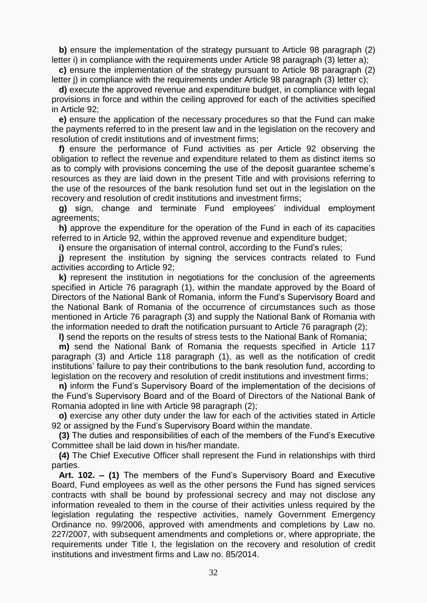**b)** ensure the implementation of the strategy pursuant to Article 98 paragraph (2) [letter](act:871892%2086298541) i) in compliance with the requirements under Article 98 paragraph (3) [letter](act:871892%2086298558) a);

 **c)** ensure the implementation of the strategy pursuant to Article 98 paragraph (2) [letter](act:871892%2086298542) j) in compliance with the requirements under Article 98 paragraph (3) [letter](act:871892%2086298560) c);

 **d)** execute the approved revenue and expenditure budget, in compliance with legal provisions in force and within the ceiling approved for each of the activities specified in [Article](act:871892%2086298486) 92;

 **e)** ensure the application of the necessary procedures so that the Fund can make the payments referred to in the present law and in the legislation on the recovery and resolution of credit institutions and of investment firms;

 **f)** ensure the performance of Fund activities as per [Article](act:871892%2086298486) 92 observing the obligation to reflect the revenue and expenditure related to them as distinct items so as to comply with provisions concerning the use of the deposit guarantee scheme's resources as they are laid down in the present Title and with provisions referring to the use of the resources of the bank resolution fund set out in the legislation on the recovery and resolution of credit institutions and investment firms;

 **g)** sign, change and terminate Fund employees' individual employment agreements;

 **h)** approve the expenditure for the operation of the Fund in each of its capacities referred to in [Article](act:871892%2086298486) 92, within the approved revenue and expenditure budget;

**i)** ensure the organisation of internal control, according to the Fund's rules;

**j)** represent the institution by signing the services contracts related to Fund activities according to [Article](act:871892%2086298486) 92;

 **k)** represent the institution in negotiations for the conclusion of the agreements specified in Article 76 paragraph (1), [within](act:871892%2086298402) the mandate approved by the Board of Directors of the National Bank of Romania, inform the Fund's Supervisory Board and the National Bank of Romania of the occurrence of circumstances such as those mentioned in Article 76 [paragraph](act:871892%2086298404) (3) and supply the National Bank of Romania with the information needed to draft the notification pursuant to Article 76 [paragraph](act:871892%2086298403) (2);

**l)** send the reports on the results of stress tests to the National Bank of Romania;

 **m)** send the National Bank of Romania the requests specified in Article 117 [paragraph](act:871892%2086298663) (3) and Article 118 [paragraph \(1\),](act:871892%2086298665) as well as the notification of credit institutions' failure to pay their contributions to the bank resolution fund, according to legislation on the recovery and resolution of credit institutions and investment firms;

 **n)** inform the Fund's Supervisory Board of the implementation of the decisions of the Fund's Supervisory Board and of the Board of Directors of the National Bank of Romania adopted in line with Article 98 [paragraph](act:871892%2086298532) (2);

 **o)** exercise any other duty under the law for each of the activities stated in [Article](act:871892%2086298486) [92](act:871892%2086298486) or assigned by the Fund's Supervisory Board within the mandate.

 **(3)** The duties and responsibilities of each of the members of the Fund's Executive Committee shall be laid down in his/her mandate.

 **(4)** The Chief Executive Officer shall represent the Fund in relationships with third parties.

 **Art. 102. – (1)** The members of the Fund's Supervisory Board and Executive Board, Fund employees as well as the other persons the Fund has signed services contracts with shall be bound by professional secrecy and may not disclose any information revealed to them in the course of their activities unless required by the legislation regulating the respective activities, namely Government Emergency Ordinance no. 99/2006, approved with amendments and completions by Law [no.](act:106952%200)  [227/2007,](act:106952%200) with subsequent amendments and completions or, where appropriate, the requirements under Title I, the legislation on the recovery and resolution of credit institutions and investment firms and Law [no. 85/2014.](act:399890%200)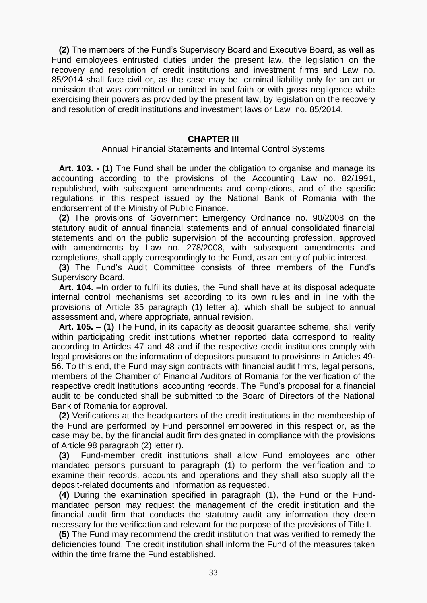**(2)** The members of the Fund's Supervisory Board and Executive Board, as well as Fund employees entrusted duties under the present law, the legislation on the recovery and resolution of credit institutions and investment firms and Law [no.](act:399890%200)  [85/2014](act:399890%200) shall face civil or, as the case may be, criminal liability only for an act or omission that was committed or omitted in bad faith or with gross negligence while exercising their powers as provided by the present law, by legislation on the recovery and resolution of credit institutions and investment laws or Law [no. 85/2014.](act:399890%200)

#### **CHAPTER III**

Annual Financial Statements and Internal Control Systems

 **Art. 103. - (1)** The Fund shall be under the obligation to organise and manage its accounting according to the provisions of the Accounting Law [no. 82/1991,](act:124705%200) republished, with subsequent amendments and completions, and of the specific regulations in this respect issued by the National Bank of Romania with the endorsement of the Ministry of Public Finance.

 **(2)** The provisions of Government Emergency Ordinance [no. 90/2008](act:119692%200) on the statutory audit of annual financial statements and of annual consolidated financial statements and on the public supervision of the accounting profession, approved with amendments by Law [no. 278/2008,](act:117281%200) with subsequent amendments and completions, shall apply correspondingly to the Fund, as an entity of public interest.

 **(3)** The Fund's Audit Committee consists of three members of the Fund's Supervisory Board.

 **Art. 104. –**In order to fulfil its duties, the Fund shall have at its disposal adequate internal control mechanisms set according to its own rules and in line with the provisions of Article 35 paragraph (1) [letter a\),](act:871892%2086298252) which shall be subject to annual assessment and, where appropriate, annual revision.

 **Art. 105. – (1)** The Fund, in its capacity as deposit guarantee scheme, shall verify within participating credit institutions whether reported data correspond to reality according to [Articles](act:871892%2086298297) 47 and [48](act:871892%2086298300) and if the respective credit institutions comply with legal provisions on the information of depositors pursuant to provisions in [Articles](act:871892%2086298303) 49- [56.](act:871892%2086298322) To this end, the Fund may sign contracts with financial audit firms, legal persons, members of the Chamber of Financial Auditors of Romania for the verification of the respective credit institutions' accounting records. The Fund's proposal for a financial audit to be conducted shall be submitted to the Board of Directors of the National Bank of Romania for approval.

 **(2)** Verifications at the headquarters of the credit institutions in the membership of the Fund are performed by Fund personnel empowered in this respect or, as the case may be, by the financial audit firm designated in compliance with the provisions of Article 98 paragraph (2) [letter](act:871892%2086298550) r).

 **(3)** Fund-member credit institutions shall allow Fund employees and other mandated persons pursuant to paragraph (1) to perform the verification and to examine their records, accounts and operations and they shall also supply all the deposit-related documents and information as requested.

 **(4)** During the examination specified in paragraph (1), the Fund or the Fundmandated person may request the management of the credit institution and the financial audit firm that conducts the statutory audit any information they deem necessary for the verification and relevant for the purpose of the provisions of Title I.

 **(5)** The Fund may recommend the credit institution that was verified to remedy the deficiencies found. The credit institution shall inform the Fund of the measures taken within the time frame the Fund established.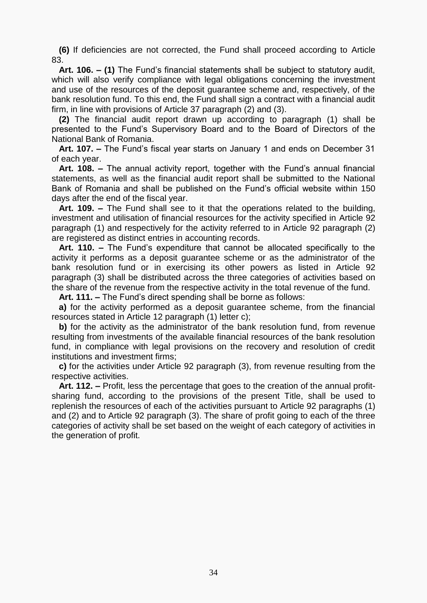**(6)** If deficiencies are not corrected, the Fund shall proceed according to [Article](act:871892%2086298443) [83.](act:871892%2086298443)

 **Art. 106. – (1)** The Fund's financial statements shall be subject to statutory audit, which will also verify compliance with legal obligations concerning the investment and use of the resources of the deposit guarantee scheme and, respectively, of the bank resolution fund. To this end, the Fund shall sign a contract with a financial audit firm, in line with provisions of Article 37 [paragraph](act:871892%2086298263) (2) and [\(3\).](act:871892%2086298264)

 **(2)** The financial audit report drawn up according to paragraph (1) shall be presented to the Fund's Supervisory Board and to the Board of Directors of the National Bank of Romania.

 **Art. 107. –** The Fund's fiscal year starts on January 1 and ends on December 31 of each year.

 **Art. 108. –** The annual activity report, together with the Fund's annual financial statements, as well as the financial audit report shall be submitted to the National Bank of Romania and shall be published on the Fund's official website within 150 days after the end of the fiscal year.

 **Art. 109. –** The Fund shall see to it that the operations related to the building, investment and utilisation of financial resources for the activity specified in Article 92 [paragraph](act:871892%2086298487) (1) and respectively for the activity referred to in Article 92 [paragraph](act:871892%2086298488) (2) are registered as distinct entries in accounting records.

 **Art. 110. –** The Fund's expenditure that cannot be allocated specifically to the activity it performs as a deposit guarantee scheme or as the administrator of the bank resolution fund or in exercising its other powers as listed in Article 92 [paragraph \(3\)](act:871892%2086298489) shall be distributed across the three categories of activities based on the share of the revenue from the respective activity in the total revenue of the fund.

**Art. 111. –** The Fund's direct spending shall be borne as follows:

 **a)** for the activity performed as a deposit guarantee scheme, from the financial resources stated in Article 12 paragraph (1) [letter](act:871892%2086298149) c);

**b**) for the activity as the administrator of the bank resolution fund, from revenue resulting from investments of the available financial resources of the bank resolution fund, in compliance with legal provisions on the recovery and resolution of credit institutions and investment firms;

 **c)** for the activities under Article 92 [paragraph](act:871892%2086298489) (3), from revenue resulting from the respective activities.

 **Art. 112. –** Profit, less the percentage that goes to the creation of the annual profitsharing fund, according to the provisions of the present Title, shall be used to replenish the resources of each of the activities pursuant to Article 92 [paragraphs](act:871892%2086298487) (1) and [\(2\)](act:871892%2086298488) and to Article 92 [paragraph](act:871892%2086298489) (3). The share of profit going to each of the three categories of activity shall be set based on the weight of each category of activities in the generation of profit.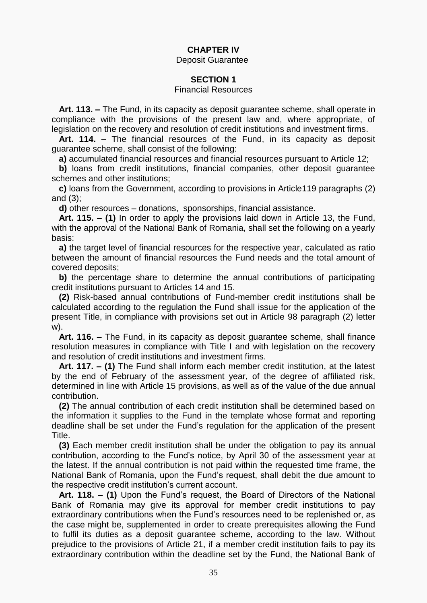# **CHAPTER IV**

Deposit Guarantee

# **SECTION 1**

#### Financial Resources

 **Art. 113. –** The Fund, in its capacity as deposit guarantee scheme, shall operate in compliance with the provisions of the present law and, where appropriate, of legislation on the recovery and resolution of credit institutions and investment firms.

 **Art. 114. –** The financial resources of the Fund, in its capacity as deposit guarantee scheme, shall consist of the following:

**a)** accumulated financial resources and financial resources pursuant to [Article](act:871892%2086298145) 12;

**b)** loans from credit institutions, financial companies, other deposit quarantee schemes and other institutions;

 **c)** loans from the Government, according to provisions in Article119 [paragraphs](act:871892%2086298669) (2) and [\(3\);](act:871892%2086298670)

**d)** other resources – donations, sponsorships, financial assistance.

 **Art. 115. – (1)** In order to apply the provisions laid down in [Article](act:871892%2086298154) 13, the Fund, with the approval of the National Bank of Romania, shall set the following on a yearly basis:

 **a)** the target level of financial resources for the respective year, calculated as ratio between the amount of financial resources the Fund needs and the total amount of covered deposits;

 **b)** the percentage share to determine the annual contributions of participating credit institutions pursuant to [Articles](act:871892%2086298156) 14 and [15.](act:871892%2086298159)

 **(2)** Risk-based annual contributions of Fund-member credit institutions shall be calculated according to the regulation the Fund shall issue for the application of the present Title, in compliance with provisions set out in Article 98 paragraph (2) [letter](act:871892%2086298555) [w\).](act:871892%2086298555)

 **Art. 116. –** The Fund, in its capacity as deposit guarantee scheme, shall finance resolution measures in compliance with Title I and with legislation on the recovery and resolution of credit institutions and investment firms.

 **Art. 117. – (1)** The Fund shall inform each member credit institution, at the latest by the end of February of the assessment year, of the degree of affiliated risk, determined in line with [Article](act:871892%2086298159) 15 provisions, as well as of the value of the due annual contribution.

 **(2)** The annual contribution of each credit institution shall be determined based on the information it supplies to the Fund in the template whose format and reporting deadline shall be set under the Fund's regulation for the application of the present Title.

 **(3)** Each member credit institution shall be under the obligation to pay its annual contribution, according to the Fund's notice, by April 30 of the assessment year at the latest. If the annual contribution is not paid within the requested time frame, the National Bank of Romania, upon the Fund's request, shall debit the due amount to the respective credit institution's current account.

 **Art. 118. – (1)** Upon the Fund's request, the Board of Directors of the National Bank of Romania may give its approval for member credit institutions to pay extraordinary contributions when the Fund's resources need to be replenished or, as the case might be, supplemented in order to create prerequisites allowing the Fund to fulfil its duties as a deposit guarantee scheme, according to the law. Without prejudice to the provisions of [Article](act:871892%2086298180) 21, if a member credit institution fails to pay its extraordinary contribution within the deadline set by the Fund, the National Bank of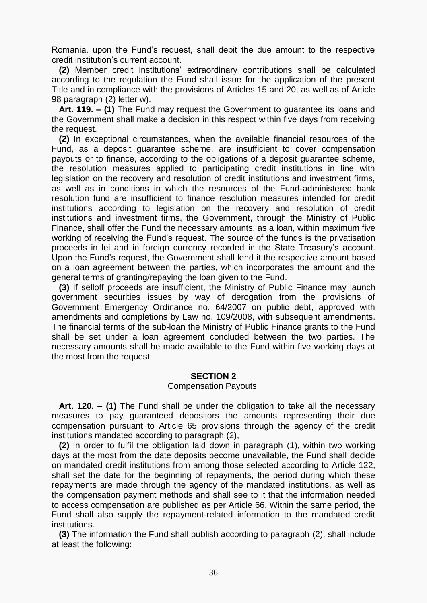Romania, upon the Fund's request, shall debit the due amount to the respective credit institution's current account.

 **(2)** Member credit institutions' extraordinary contributions shall be calculated according to the regulation the Fund shall issue for the application of the present Title and in compliance with the provisions of [Articles](act:871892%2086298159) 15 and [20,](act:871892%2086298176) as well as of Article 98 paragraph (2) [letter](act:871892%2086298555) w).

 **Art. 119. – (1)** The Fund may request the Government to guarantee its loans and the Government shall make a decision in this respect within five days from receiving the request.

 **(2)** In exceptional circumstances, when the available financial resources of the Fund, as a deposit guarantee scheme, are insufficient to cover compensation payouts or to finance, according to the obligations of a deposit guarantee scheme, the resolution measures applied to participating credit institutions in line with legislation on the recovery and resolution of credit institutions and investment firms, as well as in conditions in which the resources of the Fund-administered bank resolution fund are insufficient to finance resolution measures intended for credit institutions according to legislation on the recovery and resolution of credit institutions and investment firms, the Government, through the Ministry of Public Finance, shall offer the Fund the necessary amounts, as a loan, within maximum five working of receiving the Fund's request. The source of the funds is the privatisation proceeds in lei and in foreign currency recorded in the State Treasury's account. Upon the Fund's request, the Government shall lend it the respective amount based on a loan agreement between the parties, which incorporates the amount and the general terms of granting/repaying the loan given to the Fund.

 **(3)** If selloff proceeds are insufficient, the Ministry of Public Finance may launch government securities issues by way of derogation from the provisions of Government Emergency Ordinance [no. 64/2007](act:108849%200) on public debt, approved with amendments and completions by Law [no. 109/2008,](act:114179%200) with subsequent amendments. The financial terms of the sub-loan the Ministry of Public Finance grants to the Fund shall be set under a loan agreement concluded between the two parties. The necessary amounts shall be made available to the Fund within five working days at the most from the request.

## **SECTION 2**

#### Compensation Payouts

 **Art. 120. – (1)** The Fund shall be under the obligation to take all the necessary measures to pay guaranteed depositors the amounts representing their due compensation pursuant to [Article 65](act:871892%2086298361) provisions through the agency of the credit institutions mandated according to paragraph (2),

 **(2)** In order to fulfil the obligation laid down in paragraph (1), within two working days at the most from the date deposits become unavailable, the Fund shall decide on mandated credit institutions from among those selected according to [Article](act:871892%2086298683) 122, shall set the date for the beginning of repayments, the period during which these repayments are made through the agency of the mandated institutions, as well as the compensation payment methods and shall see to it that the information needed to access compensation are published as per [Article](act:871892%2086298368) 66. Within the same period, the Fund shall also supply the repayment-related information to the mandated credit institutions.

 **(3)** The information the Fund shall publish according to paragraph (2), shall include at least the following: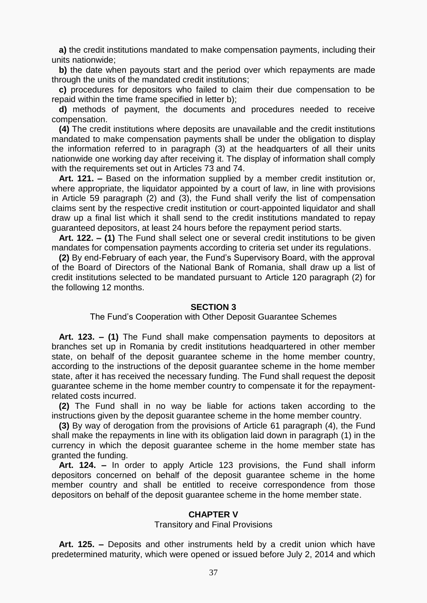**a)** the credit institutions mandated to make compensation payments, including their units nationwide;

 **b)** the date when payouts start and the period over which repayments are made through the units of the mandated credit institutions;

 **c)** procedures for depositors who failed to claim their due compensation to be repaid within the time frame specified in letter b);

 **d)** methods of payment, the documents and procedures needed to receive compensation.

 **(4)** The credit institutions where deposits are unavailable and the credit institutions mandated to make compensation payments shall be under the obligation to display the information referred to in paragraph (3) at the headquarters of all their units nationwide one working day after receiving it. The display of information shall comply with the requirements set out in [Articles](act:871892%2086298390) 73 and [74.](act:871892%2086298395)

 **Art. 121. –** Based on the information supplied by a member credit institution or, where appropriate, the liquidator appointed by a court of law, in line with provisions in Article 59 [paragraph](act:871892%2086298335) (2) and [\(3\),](act:871892%2086298336) the Fund shall verify the list of compensation claims sent by the respective credit institution or court-appointed liquidator and shall draw up a final list which it shall send to the credit institutions mandated to repay guaranteed depositors, at least 24 hours before the repayment period starts.

 **Art. 122. – (1)** The Fund shall select one or several credit institutions to be given mandates for compensation payments according to criteria set under its regulations.

 **(2)** By end-February of each year, the Fund's Supervisory Board, with the approval of the Board of Directors of the National Bank of Romania, shall draw up a list of credit institutions selected to be mandated pursuant to Article 120 [paragraph](act:871892%2086298674) (2) for the following 12 months.

#### **SECTION 3**

#### The Fund's Cooperation with Other Deposit Guarantee Schemes

 **Art. 123. – (1)** The Fund shall make compensation payments to depositors at branches set up in Romania by credit institutions headquartered in other member state, on behalf of the deposit guarantee scheme in the home member country, according to the instructions of the deposit guarantee scheme in the home member state, after it has received the necessary funding. The Fund shall request the deposit guarantee scheme in the home member country to compensate it for the repaymentrelated costs incurred.

 **(2)** The Fund shall in no way be liable for actions taken according to the instructions given by the deposit guarantee scheme in the home member country.

 **(3)** By way of derogation from the provisions of Article 61 [paragraph](act:871892%2086298344) (4), the Fund shall make the repayments in line with its obligation laid down in paragraph (1) in the currency in which the deposit guarantee scheme in the home member state has granted the funding.

 **Art. 124. –** In order to apply [Article](act:871892%2086298687) 123 provisions, the Fund shall inform depositors concerned on behalf of the deposit guarantee scheme in the home member country and shall be entitled to receive correspondence from those depositors on behalf of the deposit guarantee scheme in the home member state.

#### **CHAPTER V**

#### Transitory and Final Provisions

 **Art. 125. –** Deposits and other instruments held by a credit union which have predetermined maturity, which were opened or issued before July 2, 2014 and which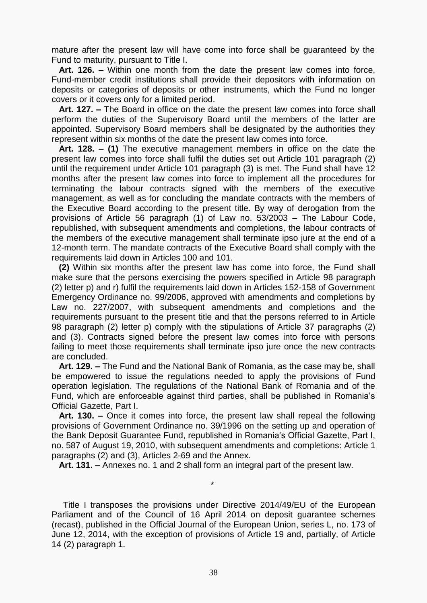mature after the present law will have come into force shall be guaranteed by the Fund to maturity, pursuant to Title I.

 **Art. 126. –** Within one month from the date the present law comes into force, Fund-member credit institutions shall provide their depositors with information on deposits or categories of deposits or other instruments, which the Fund no longer covers or it covers only for a limited period.

 **Art. 127. –** The Board in office on the date the present law comes into force shall perform the duties of the Supervisory Board until the members of the latter are appointed. Supervisory Board members shall be designated by the authorities they represent within six months of the date the present law comes into force.

 **Art. 128. – (1)** The executive management members in office on the date the present law comes into force shall fulfil the duties set out Article 101 [paragraph](act:871892%2086298590) (2) until the requirement under Article 101 [paragraph \(3\)](act:871892%2086298606) is met. The Fund shall have 12 months after the present law comes into force to implement all the procedures for terminating the labour contracts signed with the members of the executive management, as well as for concluding the mandate contracts with the members of the Executive Board according to the present title. By way of derogation from the provisions of Article 56 [paragraph](act:255574%2056618217) (1) of Law [no. 53/2003](act:255501%200) – [The Labour Code,](act:255574%200) republished, with subsequent amendments and completions, the labour contracts of the members of the executive management shall terminate ipso jure at the end of a 12-month term. The mandate contracts of the Executive Board shall comply with the requirements laid down in [Articles](act:871892%2086298583) 100 and [101.](act:871892%2086298588)

 **(2)** Within six months after the present law has come into force, the Fund shall make sure that the persons exercising the powers specified in Article 98 paragraph (2) [letter](act:871892%2086298548) p) and [r\)](act:871892%2086298550) fulfil the requirements laid down in [Articles](act:101819%2030729354) 152[-158](act:101819%2030729377) of Government Emergency Ordinance no. 99/2006, approved with amendments and completions by Law [no. 227/2007,](act:106952%200) with subsequent amendments and completions and the requirements pursuant to the present title and that the persons referred to in Article 98 paragraph (2) [letter](act:871892%2086298548) p) comply with the stipulations of Article 37 [paragraphs](act:871892%2086298263) (2) and [\(3\).](act:871892%2086298264) Contracts signed before the present law comes into force with persons failing to meet those requirements shall terminate ipso jure once the new contracts are concluded.

 **Art. 129. –** The Fund and the National Bank of Romania, as the case may be, shall be empowered to issue the regulations needed to apply the provisions of Fund operation legislation. The regulations of the National Bank of Romania and of the Fund, which are enforceable against third parties, shall be published in Romania's Official Gazette, Part I.

 **Art. 130. –** Once it comes into force, the present law shall repeal the following provisions of Government Ordinance [no. 39/1996](act:136737%200) on the setting up and operation of the Bank Deposit Guarantee Fund, republished in Romania's Official Gazette, Part I, no. 587 of August 19, 2010, with subsequent amendments and completions: Article 1 [paragraphs](act:136737%2043749176) (2) and [\(3\),](act:136737%2043749177) [Articles](act:136737%2043749178) 2[-69](act:136737%2059605131) and the [Annex.](act:136737%2043749529)

**Art. 131. –** Annexes [no. 1](act:871892%2086298716) and [2](act:871892%2086298729) shall form an integral part of the present law.

\*

 Title I transposes the provisions under Directive [2014/49/EU](act:399160%200) of the European Parliament and of the Council of 16 April 2014 on deposit guarantee schemes (recast), published in the Official Journal of the European Union, series L, no. 173 of June 12, 2014, with the exception of provisions of Article 19 and, partially, of Article 14 (2) paragraph 1.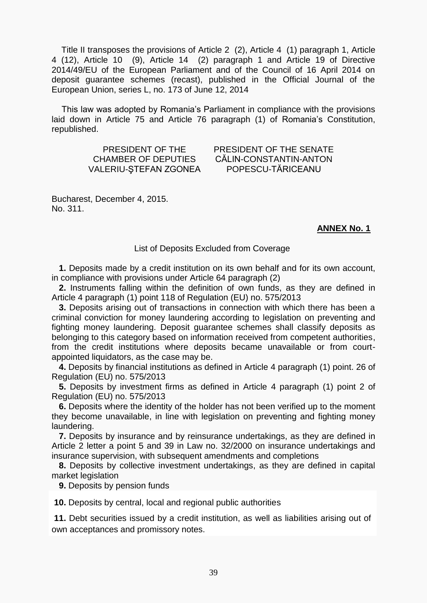Title II transposes the provisions of Article 2 [\(2\),](act:399160%2067924349) Article 4 [\(1\)](act:399160%2067924380) paragraph 1, Article 4 [\(12\),](act:399160%2067924396) Article 10 [\(9\),](act:399160%2067924498) Article 14 [\(2\)](act:399160%2067924543) paragraph 1 and [Article](act:399160%2067924583) 19 of Directive 2014/49/EU of the European Parliament and of the Council of 16 April 2014 on deposit guarantee schemes (recast), published in the Official Journal of the European Union, series L, no. 173 of June 12, 2014

 This law was adopted by Romania's Parliament in compliance with the provisions laid down in [Article](act:48295%2043226532) 75 and Article 76 [paragraph](act:48295%2043226542) (1) of Romania's Constitution, republished.

> PRESIDENT OF THE CHAMBER OF DEPUTIES VALERIU-ŞTEFAN ZGONEA

PRESIDENT OF THE SENATE CĂLIN-CONSTANTIN-ANTON POPESCU-TĂRICEANU

Bucharest, December 4, 2015. No. 311.

# **ANNEX No. 1**

## List of Deposits Excluded from Coverage

 **1.** Deposits made by a credit institution on its own behalf and for its own account, in compliance with provisions under Article 64 [paragraph](act:871892%2086298358) (2)

 **2.** Instruments falling within the definition of own funds, as they are defined in Article 4 paragraph (1) [point](act:387730%2066584469) 118 of Regulation (EU) no. 575/2013

 **3.** Deposits arising out of transactions in connection with which there has been a criminal conviction for money laundering according to legislation on preventing and fighting money laundering. Deposit guarantee schemes shall classify deposits as belonging to this category based on information received from competent authorities, from the credit institutions where deposits became unavailable or from courtappointed liquidators, as the case may be.

 **4.** Deposits by financial institutions as defined in Article 4 paragraph (1) [point. 26](act:387730%2066584342) of Regulation (EU) no. 575/2013

 **5.** Deposits by investment firms as defined in Article 4 paragraph (1) [point](act:387730%2066584305) 2 of Regulation (EU) no. 575/2013

 **6.** Deposits where the identity of the holder has not been verified up to the moment they become unavailable, in line with legislation on preventing and fighting money laundering.

 **7.** Deposits by insurance and by reinsurance undertakings, as they are defined in Article 2 letter a [point](act:26593%2029215079) 5 and [39](act:26593%2021019502) in Law [no. 32/2000](act:26593%200) on insurance undertakings and insurance supervision, with subsequent amendments and completions

 **8.** Deposits by collective investment undertakings, as they are defined in capital market legislation

**9.** Deposits by pension funds

**10.** Deposits by central, local and regional public authorities

**11.** Debt securities issued by a credit institution, as well as liabilities arising out of own acceptances and promissory notes.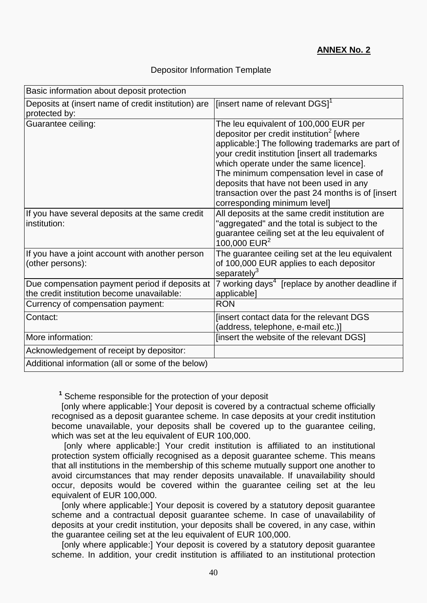# Depositor Information Template

| Basic information about deposit protection          |                                                                                     |
|-----------------------------------------------------|-------------------------------------------------------------------------------------|
| Deposits at (insert name of credit institution) are | [insert name of relevant DGS] <sup>1</sup>                                          |
| protected by:                                       |                                                                                     |
| Guarantee ceiling:                                  | The leu equivalent of 100,000 EUR per                                               |
|                                                     | depositor per credit institution <sup>2</sup> [where                                |
|                                                     | applicable:] The following trademarks are part of                                   |
|                                                     | your credit institution [insert all trademarks                                      |
|                                                     | which operate under the same licence].<br>The minimum compensation level in case of |
|                                                     | deposits that have not been used in any                                             |
|                                                     | transaction over the past 24 months is of [insert                                   |
|                                                     | corresponding minimum level]                                                        |
| If you have several deposits at the same credit     | All deposits at the same credit institution are                                     |
| institution:                                        | "aggregated" and the total is subject to the                                        |
|                                                     | guarantee ceiling set at the leu equivalent of                                      |
|                                                     | 100,000 EUR <sup>2</sup>                                                            |
| If you have a joint account with another person     | The guarantee ceiling set at the leu equivalent                                     |
| (other persons):                                    | of 100,000 EUR applies to each depositor<br>separately $3$                          |
| Due compensation payment period if deposits at      | 7 working days <sup>4</sup> [replace by another deadline if                         |
| the credit institution become unavailable:          | applicable]                                                                         |
| Currency of compensation payment:                   | <b>RON</b>                                                                          |
| Contact:                                            | [insert contact data for the relevant DGS                                           |
|                                                     | (address, telephone, e-mail etc.)]                                                  |
| More information:                                   | [insert the website of the relevant DGS]                                            |
| Acknowledgement of receipt by depositor:            |                                                                                     |
| Additional information (all or some of the below)   |                                                                                     |

**<sup>1</sup>** Scheme responsible for the protection of your deposit

 [only where applicable:] Your deposit is covered by a contractual scheme officially recognised as a deposit guarantee scheme. In case deposits at your credit institution become unavailable, your deposits shall be covered up to the guarantee ceiling, which was set at the leu equivalent of EUR 100,000.

 [only where applicable:] Your credit institution is affiliated to an institutional protection system officially recognised as a deposit guarantee scheme. This means that all institutions in the membership of this scheme mutually support one another to avoid circumstances that may render deposits unavailable. If unavailability should occur, deposits would be covered within the guarantee ceiling set at the leu equivalent of EUR 100,000.

 [only where applicable:] Your deposit is covered by a statutory deposit guarantee scheme and a contractual deposit guarantee scheme. In case of unavailability of deposits at your credit institution, your deposits shall be covered, in any case, within the guarantee ceiling set at the leu equivalent of EUR 100,000.

 [only where applicable:] Your deposit is covered by a statutory deposit guarantee scheme. In addition, your credit institution is affiliated to an institutional protection